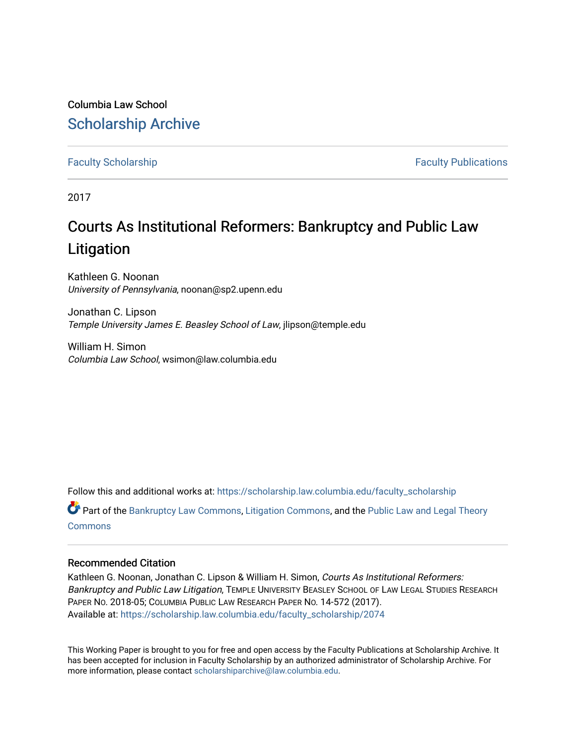Columbia Law School [Scholarship Archive](https://scholarship.law.columbia.edu/) 

[Faculty Scholarship](https://scholarship.law.columbia.edu/faculty_scholarship) **Faculty Scholarship Faculty Publications** 

2017

# Courts As Institutional Reformers: Bankruptcy and Public Law Litigation

Kathleen G. Noonan University of Pennsylvania, noonan@sp2.upenn.edu

Jonathan C. Lipson Temple University James E. Beasley School of Law, jlipson@temple.edu

William H. Simon Columbia Law School, wsimon@law.columbia.edu

Follow this and additional works at: [https://scholarship.law.columbia.edu/faculty\\_scholarship](https://scholarship.law.columbia.edu/faculty_scholarship?utm_source=scholarship.law.columbia.edu%2Ffaculty_scholarship%2F2074&utm_medium=PDF&utm_campaign=PDFCoverPages)

Part of the [Bankruptcy Law Commons,](http://network.bepress.com/hgg/discipline/583?utm_source=scholarship.law.columbia.edu%2Ffaculty_scholarship%2F2074&utm_medium=PDF&utm_campaign=PDFCoverPages) [Litigation Commons](http://network.bepress.com/hgg/discipline/910?utm_source=scholarship.law.columbia.edu%2Ffaculty_scholarship%2F2074&utm_medium=PDF&utm_campaign=PDFCoverPages), and the [Public Law and Legal Theory](http://network.bepress.com/hgg/discipline/871?utm_source=scholarship.law.columbia.edu%2Ffaculty_scholarship%2F2074&utm_medium=PDF&utm_campaign=PDFCoverPages) **[Commons](http://network.bepress.com/hgg/discipline/871?utm_source=scholarship.law.columbia.edu%2Ffaculty_scholarship%2F2074&utm_medium=PDF&utm_campaign=PDFCoverPages)** 

#### Recommended Citation

Kathleen G. Noonan, Jonathan C. Lipson & William H. Simon, Courts As Institutional Reformers: Bankruptcy and Public Law Litigation, TEMPLE UNIVERSITY BEASLEY SCHOOL OF LAW LEGAL STUDIES RESEARCH PAPER NO. 2018-05; COLUMBIA PUBLIC LAW RESEARCH PAPER NO. 14-572 (2017). Available at: [https://scholarship.law.columbia.edu/faculty\\_scholarship/2074](https://scholarship.law.columbia.edu/faculty_scholarship/2074?utm_source=scholarship.law.columbia.edu%2Ffaculty_scholarship%2F2074&utm_medium=PDF&utm_campaign=PDFCoverPages)

This Working Paper is brought to you for free and open access by the Faculty Publications at Scholarship Archive. It has been accepted for inclusion in Faculty Scholarship by an authorized administrator of Scholarship Archive. For more information, please contact [scholarshiparchive@law.columbia.edu.](mailto:scholarshiparchive@law.columbia.edu)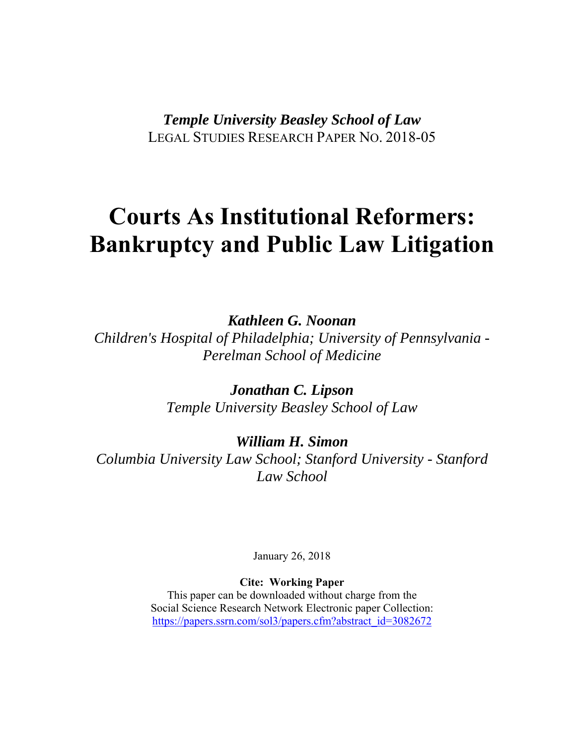*Temple University Beasley School of Law*  LEGAL STUDIES RESEARCH PAPER NO. 2018-05

# **Courts As Institutional Reformers: Bankruptcy and Public Law Litigation**

*Kathleen G. Noonan* 

*Children's Hospital of Philadelphia; University of Pennsylvania - Perelman School of Medicine* 

> *Jonathan C. Lipson Temple University Beasley School of Law*

# *William H. Simon*

*Columbia University Law School; Stanford University - Stanford Law School* 

January 26, 2018

**Cite: Working Paper**

This paper can be downloaded without charge from the Social Science Research Network Electronic paper Collection: https://papers.ssrn.com/sol3/papers.cfm?abstract\_id=3082672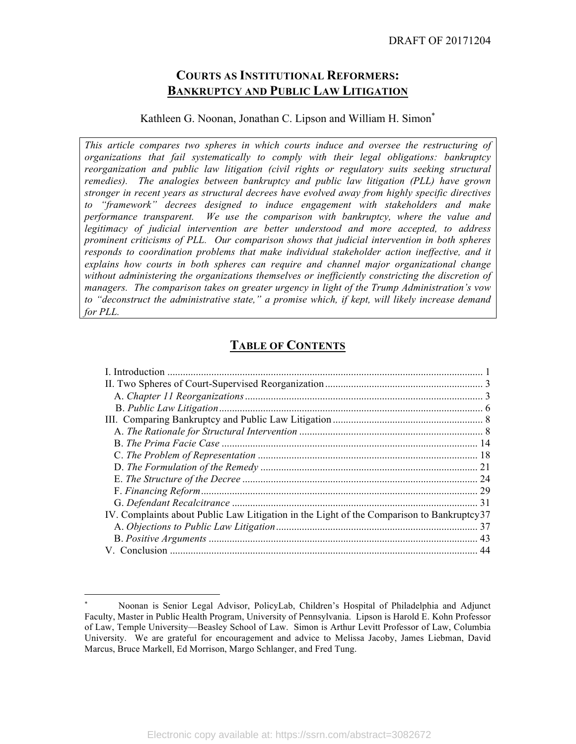# **COURTS AS INSTITUTIONAL REFORMERS: BANKRUPTCY AND PUBLIC LAW LITIGATION**

#### Kathleen G. Noonan, Jonathan C. Lipson and William H. Simon\*

*This article compares two spheres in which courts induce and oversee the restructuring of organizations that fail systematically to comply with their legal obligations: bankruptcy reorganization and public law litigation (civil rights or regulatory suits seeking structural remedies). The analogies between bankruptcy and public law litigation (PLL) have grown stronger in recent years as structural decrees have evolved away from highly specific directives to "framework" decrees designed to induce engagement with stakeholders and make performance transparent. We use the comparison with bankruptcy, where the value and legitimacy of judicial intervention are better understood and more accepted, to address prominent criticisms of PLL. Our comparison shows that judicial intervention in both spheres responds to coordination problems that make individual stakeholder action ineffective, and it explains how courts in both spheres can require and channel major organizational change without administering the organizations themselves or inefficiently constricting the discretion of managers. The comparison takes on greater urgency in light of the Trump Administration's vow to "deconstruct the administrative state," a promise which, if kept, will likely increase demand for PLL.*

# **TABLE OF CONTENTS**

| L. Introduction                                                                            |    |
|--------------------------------------------------------------------------------------------|----|
|                                                                                            |    |
|                                                                                            |    |
|                                                                                            |    |
|                                                                                            |    |
|                                                                                            |    |
|                                                                                            |    |
|                                                                                            |    |
|                                                                                            |    |
|                                                                                            | 24 |
|                                                                                            |    |
|                                                                                            |    |
| IV. Complaints about Public Law Litigation in the Light of the Comparison to Bankruptcy 37 |    |
|                                                                                            |    |
|                                                                                            |    |
|                                                                                            | 44 |

 $\overline{a}$ 

Noonan is Senior Legal Advisor, PolicyLab, Children's Hospital of Philadelphia and Adjunct Faculty, Master in Public Health Program, University of Pennsylvania. Lipson is Harold E. Kohn Professor of Law, Temple University—Beasley School of Law. Simon is Arthur Levitt Professor of Law, Columbia University. We are grateful for encouragement and advice to Melissa Jacoby, James Liebman, David Marcus, Bruce Markell, Ed Morrison, Margo Schlanger, and Fred Tung.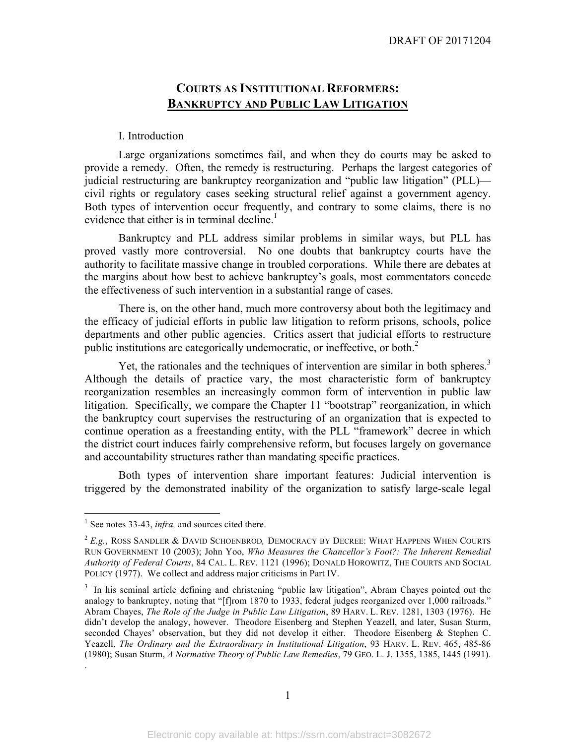# **COURTS AS INSTITUTIONAL REFORMERS: BANKRUPTCY AND PUBLIC LAW LITIGATION**

#### I. Introduction

Large organizations sometimes fail, and when they do courts may be asked to provide a remedy. Often, the remedy is restructuring. Perhaps the largest categories of judicial restructuring are bankruptcy reorganization and "public law litigation" (PLL) civil rights or regulatory cases seeking structural relief against a government agency. Both types of intervention occur frequently, and contrary to some claims, there is no evidence that either is in terminal decline.<sup>1</sup>

Bankruptcy and PLL address similar problems in similar ways, but PLL has proved vastly more controversial. No one doubts that bankruptcy courts have the authority to facilitate massive change in troubled corporations. While there are debates at the margins about how best to achieve bankruptcy's goals, most commentators concede the effectiveness of such intervention in a substantial range of cases.

There is, on the other hand, much more controversy about both the legitimacy and the efficacy of judicial efforts in public law litigation to reform prisons, schools, police departments and other public agencies. Critics assert that judicial efforts to restructure public institutions are categorically undemocratic, or ineffective, or both. 2

Yet, the rationales and the techniques of intervention are similar in both spheres.<sup>3</sup> Although the details of practice vary, the most characteristic form of bankruptcy reorganization resembles an increasingly common form of intervention in public law litigation. Specifically, we compare the Chapter 11 "bootstrap" reorganization, in which the bankruptcy court supervises the restructuring of an organization that is expected to continue operation as a freestanding entity, with the PLL "framework" decree in which the district court induces fairly comprehensive reform, but focuses largely on governance and accountability structures rather than mandating specific practices.

Both types of intervention share important features: Judicial intervention is triggered by the demonstrated inability of the organization to satisfy large-scale legal

.

<sup>&</sup>lt;sup>1</sup> See notes 33-43, *infra*, and sources cited there.

<sup>2</sup> *E.g.*, ROSS SANDLER & DAVID SCHOENBROD*,* DEMOCRACY BY DECREE: WHAT HAPPENS WHEN COURTS RUN GOVERNMENT 10 (2003); John Yoo, *Who Measures the Chancellor's Foot?: The Inherent Remedial Authority of Federal Courts*, 84 CAL. L. REV. 1121 (1996); DONALD HOROWITZ, THE COURTS AND SOCIAL POLICY (1977). We collect and address major criticisms in Part IV.

<sup>&</sup>lt;sup>3</sup> In his seminal article defining and christening "public law litigation", Abram Chayes pointed out the analogy to bankruptcy, noting that "[f]rom 1870 to 1933, federal judges reorganized over 1,000 railroads." Abram Chayes, *The Role of the Judge in Public Law Litigation*, 89 HARV. L. REV. 1281, 1303 (1976). He didn't develop the analogy, however. Theodore Eisenberg and Stephen Yeazell, and later, Susan Sturm, seconded Chayes' observation, but they did not develop it either. Theodore Eisenberg & Stephen C. Yeazell, *The Ordinary and the Extraordinary in Institutional Litigation*, 93 HARV. L. REV. 465, 485-86 (1980); Susan Sturm, *A Normative Theory of Public Law Remedies*, 79 GEO. L. J. 1355, 1385, 1445 (1991).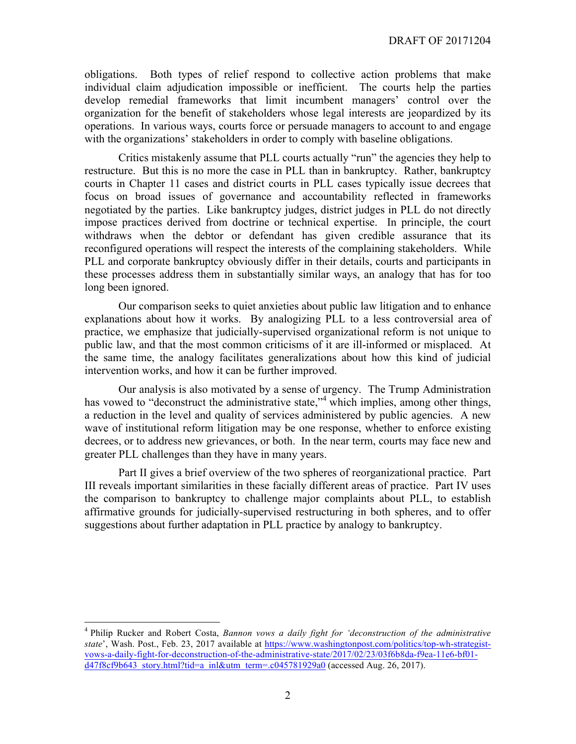obligations. Both types of relief respond to collective action problems that make individual claim adjudication impossible or inefficient. The courts help the parties develop remedial frameworks that limit incumbent managers' control over the organization for the benefit of stakeholders whose legal interests are jeopardized by its operations. In various ways, courts force or persuade managers to account to and engage with the organizations' stakeholders in order to comply with baseline obligations.

Critics mistakenly assume that PLL courts actually "run" the agencies they help to restructure. But this is no more the case in PLL than in bankruptcy. Rather, bankruptcy courts in Chapter 11 cases and district courts in PLL cases typically issue decrees that focus on broad issues of governance and accountability reflected in frameworks negotiated by the parties. Like bankruptcy judges, district judges in PLL do not directly impose practices derived from doctrine or technical expertise. In principle, the court withdraws when the debtor or defendant has given credible assurance that its reconfigured operations will respect the interests of the complaining stakeholders. While PLL and corporate bankruptcy obviously differ in their details, courts and participants in these processes address them in substantially similar ways, an analogy that has for too long been ignored.

Our comparison seeks to quiet anxieties about public law litigation and to enhance explanations about how it works. By analogizing PLL to a less controversial area of practice, we emphasize that judicially-supervised organizational reform is not unique to public law, and that the most common criticisms of it are ill-informed or misplaced. At the same time, the analogy facilitates generalizations about how this kind of judicial intervention works, and how it can be further improved.

Our analysis is also motivated by a sense of urgency. The Trump Administration has vowed to "deconstruct the administrative state,"<sup>4</sup> which implies, among other things, a reduction in the level and quality of services administered by public agencies. A new wave of institutional reform litigation may be one response, whether to enforce existing decrees, or to address new grievances, or both. In the near term, courts may face new and greater PLL challenges than they have in many years.

Part II gives a brief overview of the two spheres of reorganizational practice. Part III reveals important similarities in these facially different areas of practice. Part IV uses the comparison to bankruptcy to challenge major complaints about PLL, to establish affirmative grounds for judicially-supervised restructuring in both spheres, and to offer suggestions about further adaptation in PLL practice by analogy to bankruptcy.

 <sup>4</sup> Philip Rucker and Robert Costa, *Bannon vows a daily fight for 'deconstruction of the administrative state*', Wash. Post., Feb. 23, 2017 available at https://www.washingtonpost.com/politics/top-wh-strategistvows-a-daily-fight-for-deconstruction-of-the-administrative-state/2017/02/23/03f6b8da-f9ea-11e6-bf01 d47f8cf9b643\_story.html?tid=a\_inl&utm\_term=.c045781929a0 (accessed Aug. 26, 2017).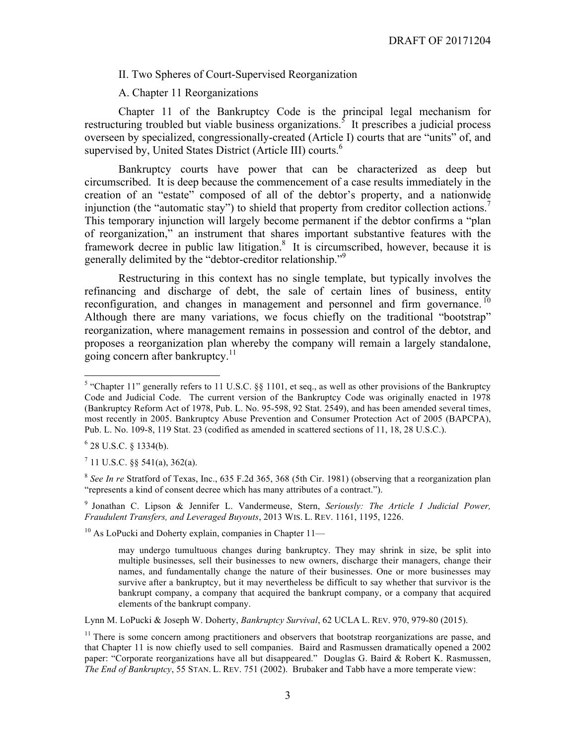II. Two Spheres of Court-Supervised Reorganization

A. Chapter 11 Reorganizations

Chapter 11 of the Bankruptcy Code is the principal legal mechanism for restructuring troubled but viable business organizations.<sup>5</sup> It prescribes a judicial process overseen by specialized, congressionally-created (Article I) courts that are "units" of, and supervised by, United States District (Article III) courts.<sup>6</sup>

Bankruptcy courts have power that can be characterized as deep but circumscribed. It is deep because the commencement of a case results immediately in the creation of an "estate" composed of all of the debtor's property, and a nationwide injunction (the "automatic stay") to shield that property from creditor collection actions.<sup>7</sup> This temporary injunction will largely become permanent if the debtor confirms a "plan of reorganization," an instrument that shares important substantive features with the framework decree in public law litigation.<sup>8</sup> It is circumscribed, however, because it is generally delimited by the "debtor-creditor relationship."9

Restructuring in this context has no single template, but typically involves the refinancing and discharge of debt, the sale of certain lines of business, entity reconfiguration, and changes in management and personnel and firm governance.<sup>10</sup> Although there are many variations, we focus chiefly on the traditional "bootstrap" reorganization, where management remains in possession and control of the debtor, and proposes a reorganization plan whereby the company will remain a largely standalone, going concern after bankruptcy.<sup>11</sup>

 $6$  28 U.S.C. § 1334(b).

 $7$  11 U.S.C. §§ 541(a), 362(a).

<sup>8</sup> *See In re* Stratford of Texas, Inc., 635 F.2d 365, 368 (5th Cir. 1981) (observing that a reorganization plan "represents a kind of consent decree which has many attributes of a contract.").

<sup>9</sup> Jonathan C. Lipson & Jennifer L. Vandermeuse, Stern, *Seriously: The Article I Judicial Power, Fraudulent Transfers, and Leveraged Buyouts*, 2013 WIS. L. REV. 1161, 1195, 1226.

 $10$  As LoPucki and Doherty explain, companies in Chapter  $11-$ 

Lynn M. LoPucki & Joseph W. Doherty, *Bankruptcy Survival*, 62 UCLA L. REV. 970, 979-80 (2015).

<sup>&</sup>lt;sup>5</sup> "Chapter 11" generally refers to 11 U.S.C. §§ 1101, et seq., as well as other provisions of the Bankruptcy Code and Judicial Code. The current version of the Bankruptcy Code was originally enacted in 1978 (Bankruptcy Reform Act of 1978, Pub. L. No. 95-598, 92 Stat. 2549), and has been amended several times, most recently in 2005. Bankruptcy Abuse Prevention and Consumer Protection Act of 2005 (BAPCPA), Pub. L. No. 109-8, 119 Stat. 23 (codified as amended in scattered sections of 11, 18, 28 U.S.C.).

may undergo tumultuous changes during bankruptcy. They may shrink in size, be split into multiple businesses, sell their businesses to new owners, discharge their managers, change their names, and fundamentally change the nature of their businesses. One or more businesses may survive after a bankruptcy, but it may nevertheless be difficult to say whether that survivor is the bankrupt company, a company that acquired the bankrupt company, or a company that acquired elements of the bankrupt company.

 $11$  There is some concern among practitioners and observers that bootstrap reorganizations are passe, and that Chapter 11 is now chiefly used to sell companies. Baird and Rasmussen dramatically opened a 2002 paper: "Corporate reorganizations have all but disappeared." Douglas G. Baird & Robert K. Rasmussen, *The End of Bankruptcy*, 55 STAN. L. REV. 751 (2002). Brubaker and Tabb have a more temperate view: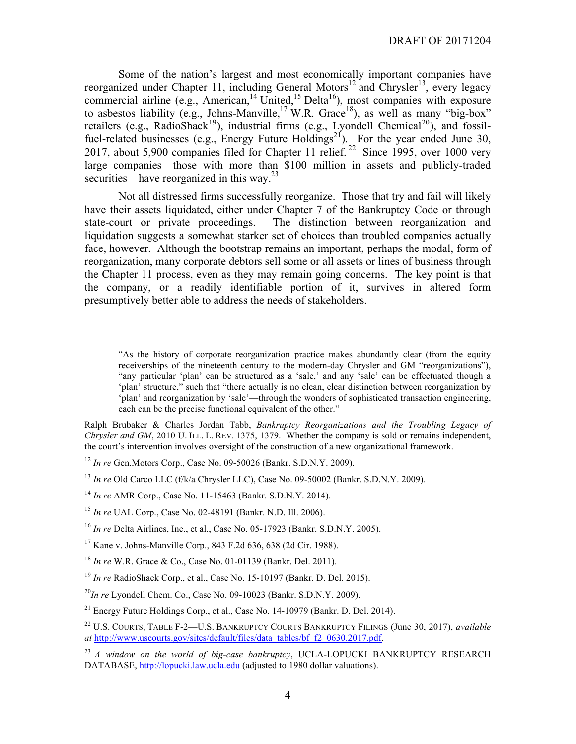Some of the nation's largest and most economically important companies have reorganized under Chapter 11, including General Motors<sup>12</sup> and Chrysler<sup>13</sup>, every legacy commercial airline (e.g., American,<sup>14</sup> United,<sup>15</sup> Delta<sup>16</sup>), most companies with exposure to asbestos liability (e.g., Johns-Manville,<sup>17</sup> W.R. Grace<sup>18</sup>), as well as many "big-box" retailers (e.g., RadioShack<sup>19</sup>), industrial firms (e.g., Lyondell Chemical<sup>20</sup>), and fossilfuel-related businesses (e.g., Energy Future Holdings<sup>21</sup>). For the year ended June 30, 2017, about 5,900 companies filed for Chapter 11 relief. 22 Since 1995, over 1000 very large companies—those with more than \$100 million in assets and publicly-traded securities—have reorganized in this way.<sup>23</sup>

Not all distressed firms successfully reorganize. Those that try and fail will likely have their assets liquidated, either under Chapter 7 of the Bankruptcy Code or through state-court or private proceedings. The distinction between reorganization and liquidation suggests a somewhat starker set of choices than troubled companies actually face, however. Although the bootstrap remains an important, perhaps the modal, form of reorganization, many corporate debtors sell some or all assets or lines of business through the Chapter 11 process, even as they may remain going concerns. The key point is that the company, or a readily identifiable portion of it, survives in altered form presumptively better able to address the needs of stakeholders.

 "As the history of corporate reorganization practice makes abundantly clear (from the equity receiverships of the nineteenth century to the modern-day Chrysler and GM "reorganizations"), "any particular 'plan' can be structured as a 'sale,' and any 'sale' can be effectuated though a 'plan' structure," such that "there actually is no clean, clear distinction between reorganization by 'plan' and reorganization by 'sale'—through the wonders of sophisticated transaction engineering, each can be the precise functional equivalent of the other."

Ralph Brubaker & Charles Jordan Tabb, *Bankruptcy Reorganizations and the Troubling Legacy of Chrysler and GM*, 2010 U. ILL. L. REV. 1375, 1379. Whether the company is sold or remains independent, the court's intervention involves oversight of the construction of a new organizational framework.

<sup>12</sup> *In re* Gen.Motors Corp., Case No. 09-50026 (Bankr. S.D.N.Y. 2009).

<sup>13</sup> *In re* Old Carco LLC (f/k/a Chrysler LLC), Case No. 09-50002 (Bankr. S.D.N.Y. 2009).

<sup>14</sup> *In re* AMR Corp., Case No. 11-15463 (Bankr. S.D.N.Y. 2014).

<sup>15</sup> *In re* UAL Corp., Case No. 02-48191 (Bankr. N.D. Ill. 2006).

<sup>16</sup> *In re* Delta Airlines, Inc., et al., Case No. 05-17923 (Bankr. S.D.N.Y. 2005).

<sup>17</sup> Kane v. Johns-Manville Corp., 843 F.2d 636, 638 (2d Cir. 1988).

<sup>18</sup> *In re* W.R. Grace & Co., Case No. 01-01139 (Bankr. Del. 2011).

<sup>19</sup> *In re* RadioShack Corp., et al., Case No. 15-10197 (Bankr. D. Del. 2015).

<sup>20</sup>*In re* Lyondell Chem. Co., Case No. 09-10023 (Bankr. S.D.N.Y. 2009).

<sup>21</sup> Energy Future Holdings Corp., et al., Case No. 14-10979 (Bankr. D. Del. 2014).

<sup>22</sup> U.S. COURTS, TABLE F-2—U.S. BANKRUPTCY COURTS BANKRUPTCY FILINGS (June 30, 2017), *available at* http://www.uscourts.gov/sites/default/files/data\_tables/bf\_f2\_0630.2017.pdf.

<sup>23</sup> *A window on the world of big-case bankruptcy*, UCLA-LOPUCKI BANKRUPTCY RESEARCH DATABASE, http://lopucki.law.ucla.edu (adjusted to 1980 dollar valuations).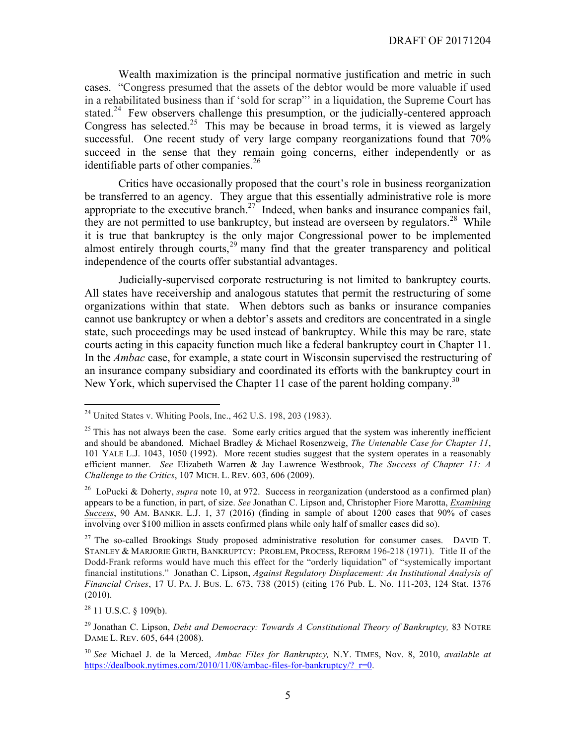Wealth maximization is the principal normative justification and metric in such cases. "Congress presumed that the assets of the debtor would be more valuable if used in a rehabilitated business than if 'sold for scrap"' in a liquidation, the Supreme Court has stated.<sup>24</sup> Few observers challenge this presumption, or the judicially-centered approach Congress has selected.<sup>25</sup> This may be because in broad terms, it is viewed as largely successful. One recent study of very large company reorganizations found that 70% succeed in the sense that they remain going concerns, either independently or as identifiable parts of other companies.<sup>26</sup>

Critics have occasionally proposed that the court's role in business reorganization be transferred to an agency. They argue that this essentially administrative role is more appropriate to the executive branch.<sup>27</sup> Indeed, when banks and insurance companies fail, they are not permitted to use bankruptcy, but instead are overseen by regulators.<sup>28</sup> While it is true that bankruptcy is the only major Congressional power to be implemented almost entirely through courts,<sup>29</sup> many find that the greater transparency and political independence of the courts offer substantial advantages.

Judicially-supervised corporate restructuring is not limited to bankruptcy courts. All states have receivership and analogous statutes that permit the restructuring of some organizations within that state. When debtors such as banks or insurance companies cannot use bankruptcy or when a debtor's assets and creditors are concentrated in a single state, such proceedings may be used instead of bankruptcy. While this may be rare, state courts acting in this capacity function much like a federal bankruptcy court in Chapter 11. In the *Ambac* case, for example, a state court in Wisconsin supervised the restructuring of an insurance company subsidiary and coordinated its efforts with the bankruptcy court in New York, which supervised the Chapter 11 case of the parent holding company.<sup>30</sup>

 $28$  11 U.S.C. § 109(b).

 $^{24}$  United States v. Whiting Pools, Inc., 462 U.S. 198, 203 (1983).

 $25$  This has not always been the case. Some early critics argued that the system was inherently inefficient and should be abandoned. Michael Bradley & Michael Rosenzweig, *The Untenable Case for Chapter 11*, 101 YALE L.J. 1043, 1050 (1992). More recent studies suggest that the system operates in a reasonably efficient manner. *See* Elizabeth Warren & Jay Lawrence Westbrook, *The Success of Chapter 11: A Challenge to the Critics*, 107 MICH. L. REV. 603, 606 (2009).

<sup>26</sup> LoPucki & Doherty, *supra* note 10, at 972. Success in reorganization (understood as a confirmed plan) appears to be a function, in part, of size. *See* Jonathan C. Lipson and, Christopher Fiore Marotta, *Examining Success*, 90 AM. BANKR. L.J. 1, 37 (2016) (finding in sample of about 1200 cases that 90% of cases involving over \$100 million in assets confirmed plans while only half of smaller cases did so).

<sup>&</sup>lt;sup>27</sup> The so-called Brookings Study proposed administrative resolution for consumer cases. DAVID T. STANLEY & MARJORIE GIRTH, BANKRUPTCY: PROBLEM, PROCESS, REFORM 196-218 (1971). Title II of the Dodd-Frank reforms would have much this effect for the "orderly liquidation" of "systemically important financial institutions." Jonathan C. Lipson, *Against Regulatory Displacement: An Institutional Analysis of Financial Crises*, 17 U. PA. J. BUS. L. 673, 738 (2015) (citing 176 Pub. L. No. 111-203, 124 Stat. 1376 (2010).

<sup>29</sup> Jonathan C. Lipson, *Debt and Democracy: Towards A Constitutional Theory of Bankruptcy,* 83 NOTRE DAME L. REV. 605, 644 (2008).

<sup>30</sup> *See* Michael J. de la Merced, *Ambac Files for Bankruptcy,* N.Y. TIMES, Nov. 8, 2010, *available at* https://dealbook.nytimes.com/2010/11/08/ambac-files-for-bankruptcy/? r=0.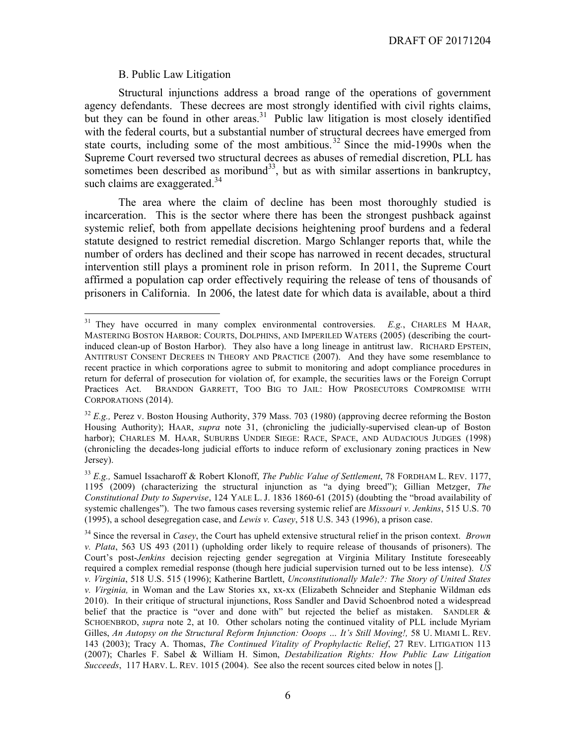#### B. Public Law Litigation

Structural injunctions address a broad range of the operations of government agency defendants. These decrees are most strongly identified with civil rights claims, but they can be found in other areas.<sup>31</sup> Public law litigation is most closely identified with the federal courts, but a substantial number of structural decrees have emerged from state courts, including some of the most ambitious.<sup>32</sup> Since the mid-1990s when the Supreme Court reversed two structural decrees as abuses of remedial discretion, PLL has sometimes been described as moribund<sup>33</sup>, but as with similar assertions in bankruptcy, such claims are exaggerated.<sup>34</sup>

The area where the claim of decline has been most thoroughly studied is incarceration. This is the sector where there has been the strongest pushback against systemic relief, both from appellate decisions heightening proof burdens and a federal statute designed to restrict remedial discretion. Margo Schlanger reports that, while the number of orders has declined and their scope has narrowed in recent decades, structural intervention still plays a prominent role in prison reform. In 2011, the Supreme Court affirmed a population cap order effectively requiring the release of tens of thousands of prisoners in California. In 2006, the latest date for which data is available, about a third

<sup>&</sup>lt;sup>31</sup> They have occurred in many complex environmental controversies. *E.g.*, CHARLES M HAAR, MASTERING BOSTON HARBOR: COURTS, DOLPHINS, AND IMPERILED WATERS (2005) (describing the courtinduced clean-up of Boston Harbor). They also have a long lineage in antitrust law. RICHARD EPSTEIN, ANTITRUST CONSENT DECREES IN THEORY AND PRACTICE (2007). And they have some resemblance to recent practice in which corporations agree to submit to monitoring and adopt compliance procedures in return for deferral of prosecution for violation of, for example, the securities laws or the Foreign Corrupt Practices Act. BRANDON GARRETT, TOO BIG TO JAIL: HOW PROSECUTORS COMPROMISE WITH CORPORATIONS (2014).

<sup>&</sup>lt;sup>32</sup> *E.g.*, Perez v. Boston Housing Authority, 379 Mass. 703 (1980) (approving decree reforming the Boston Housing Authority); HAAR, *supra* note 31, (chronicling the judicially-supervised clean-up of Boston harbor); CHARLES M. HAAR, SUBURBS UNDER SIEGE: RACE, SPACE, AND AUDACIOUS JUDGES (1998) (chronicling the decades-long judicial efforts to induce reform of exclusionary zoning practices in New Jersey).

<sup>33</sup> *E.g.,* Samuel Issacharoff & Robert Klonoff, *The Public Value of Settlement*, 78 FORDHAM L. REV. 1177, 1195 (2009) (characterizing the structural injunction as "a dying breed"); Gillian Metzger, *The Constitutional Duty to Supervise*, 124 YALE L. J. 1836 1860-61 (2015) (doubting the "broad availability of systemic challenges"). The two famous cases reversing systemic relief are *Missouri v. Jenkins*, 515 U.S. 70 (1995), a school desegregation case, and *Lewis v. Casey*, 518 U.S. 343 (1996), a prison case.

<sup>34</sup> Since the reversal in *Casey*, the Court has upheld extensive structural relief in the prison context. *Brown v. Plata*, 563 US 493 (2011) (upholding order likely to require release of thousands of prisoners). The Court's post-*Jenkins* decision rejecting gender segregation at Virginia Military Institute foreseeably required a complex remedial response (though here judicial supervision turned out to be less intense). *US v. Virginia*, 518 U.S. 515 (1996); Katherine Bartlett, *Unconstitutionally Male?: The Story of United States v. Virginia,* in Woman and the Law Stories xx, xx-xx (Elizabeth Schneider and Stephanie Wildman eds 2010). In their critique of structural injunctions, Ross Sandler and David Schoenbrod noted a widespread belief that the practice is "over and done with" but rejected the belief as mistaken. SANDLER & SCHOENBROD, *supra* note 2, at 10. Other scholars noting the continued vitality of PLL include Myriam Gilles, *An Autopsy on the Structural Reform Injunction: Ooops … It's Still Moving!,* 58 U. MIAMI L. REV. 143 (2003); Tracy A. Thomas, *The Continued Vitality of Prophylactic Relief*, 27 REV. LITIGATION 113 (2007); Charles F. Sabel & William H. Simon, *Destabilization Rights: How Public Law Litigation Succeeds*, 117 HARV. L. REV. 1015 (2004). See also the recent sources cited below in notes [].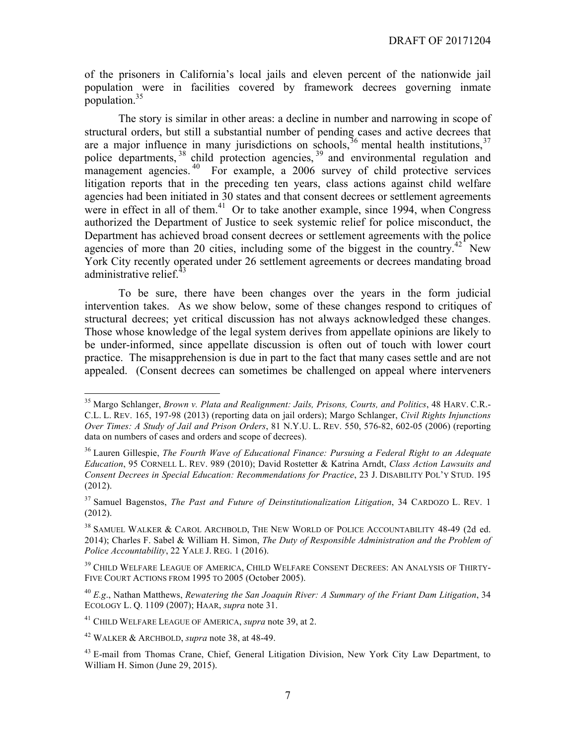of the prisoners in California's local jails and eleven percent of the nationwide jail population were in facilities covered by framework decrees governing inmate population.35

The story is similar in other areas: a decline in number and narrowing in scope of structural orders, but still a substantial number of pending cases and active decrees that are a major influence in many jurisdictions on schools,  $36$  mental health institutions,  $37$ police departments,<sup>38</sup> child protection agencies,<sup>39</sup> and environmental regulation and management agencies.<sup>40</sup> For example, a 2006 survey of child protective services litigation reports that in the preceding ten years, class actions against child welfare agencies had been initiated in 30 states and that consent decrees or settlement agreements were in effect in all of them.<sup>41</sup> Or to take another example, since 1994, when Congress authorized the Department of Justice to seek systemic relief for police misconduct, the Department has achieved broad consent decrees or settlement agreements with the police agencies of more than 20 cities, including some of the biggest in the country.<sup>42</sup> New York City recently operated under 26 settlement agreements or decrees mandating broad administrative relief. $43$ 

To be sure, there have been changes over the years in the form judicial intervention takes. As we show below, some of these changes respond to critiques of structural decrees; yet critical discussion has not always acknowledged these changes. Those whose knowledge of the legal system derives from appellate opinions are likely to be under-informed, since appellate discussion is often out of touch with lower court practice. The misapprehension is due in part to the fact that many cases settle and are not appealed. (Consent decrees can sometimes be challenged on appeal where interveners

 <sup>35</sup> Margo Schlanger, *Brown v. Plata and Realignment: Jails, Prisons, Courts, and Politics*, 48 HARV. C.R.- C.L. L. REV. 165, 197-98 (2013) (reporting data on jail orders); Margo Schlanger, *Civil Rights Injunctions Over Times: A Study of Jail and Prison Orders*, 81 N.Y.U. L. REV. 550, 576-82, 602-05 (2006) (reporting data on numbers of cases and orders and scope of decrees).

<sup>36</sup> Lauren Gillespie, *The Fourth Wave of Educational Finance: Pursuing a Federal Right to an Adequate Education*, 95 CORNELL L. REV. 989 (2010); David Rostetter & Katrina Arndt, *Class Action Lawsuits and Consent Decrees in Special Education: Recommendations for Practice*, 23 J. DISABILITY POL'Y STUD. 195 (2012).

<sup>37</sup> Samuel Bagenstos, *The Past and Future of Deinstitutionalization Litigation*, 34 CARDOZO L. REV. 1 (2012).

<sup>&</sup>lt;sup>38</sup> SAMUEL WALKER & CAROL ARCHBOLD, THE NEW WORLD OF POLICE ACCOUNTABILITY 48-49 (2d ed. 2014); Charles F. Sabel & William H. Simon, *The Duty of Responsible Administration and the Problem of Police Accountability*, 22 YALE J. REG. 1 (2016).

<sup>&</sup>lt;sup>39</sup> CHILD WELFARE LEAGUE OF AMERICA, CHILD WELFARE CONSENT DECREES: AN ANALYSIS OF THIRTY-FIVE COURT ACTIONS FROM 1995 TO 2005 (October 2005).

<sup>40</sup> *E.g*., Nathan Matthews, *Rewatering the San Joaquin River: A Summary of the Friant Dam Litigation*, 34 ECOLOGY L. Q. 1109 (2007); HAAR, *supra* note 31.

<sup>41</sup> CHILD WELFARE LEAGUE OF AMERICA, *supra* note 39, at 2.

<sup>42</sup> WALKER & ARCHBOLD, *supra* note 38, at 48-49.

<sup>&</sup>lt;sup>43</sup> E-mail from Thomas Crane, Chief, General Litigation Division, New York City Law Department, to William H. Simon (June 29, 2015).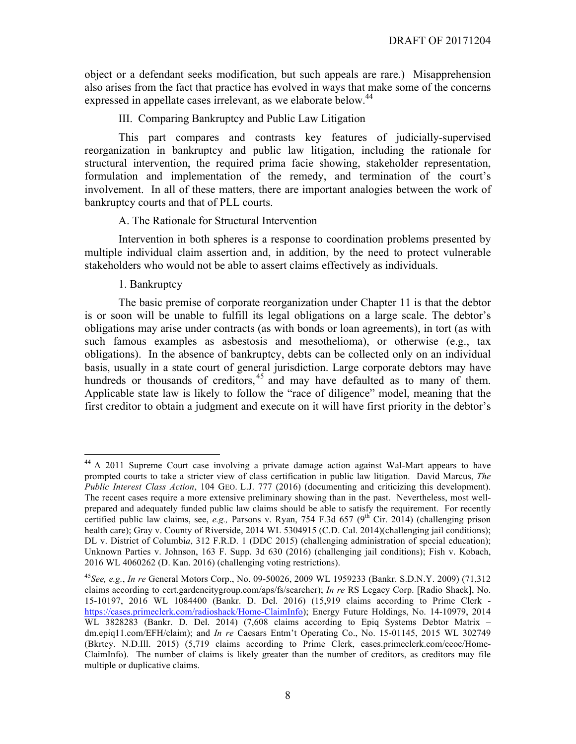object or a defendant seeks modification, but such appeals are rare.) Misapprehension also arises from the fact that practice has evolved in ways that make some of the concerns expressed in appellate cases irrelevant, as we elaborate below.<sup>44</sup>

III. Comparing Bankruptcy and Public Law Litigation

This part compares and contrasts key features of judicially-supervised reorganization in bankruptcy and public law litigation, including the rationale for structural intervention, the required prima facie showing, stakeholder representation, formulation and implementation of the remedy, and termination of the court's involvement. In all of these matters, there are important analogies between the work of bankruptcy courts and that of PLL courts.

#### A. The Rationale for Structural Intervention

Intervention in both spheres is a response to coordination problems presented by multiple individual claim assertion and, in addition, by the need to protect vulnerable stakeholders who would not be able to assert claims effectively as individuals.

#### 1. Bankruptcy

The basic premise of corporate reorganization under Chapter 11 is that the debtor is or soon will be unable to fulfill its legal obligations on a large scale. The debtor's obligations may arise under contracts (as with bonds or loan agreements), in tort (as with such famous examples as asbestosis and mesothelioma), or otherwise (e.g., tax obligations). In the absence of bankruptcy, debts can be collected only on an individual basis, usually in a state court of general jurisdiction. Large corporate debtors may have hundreds or thousands of creditors,<sup>45</sup> and may have defaulted as to many of them. Applicable state law is likely to follow the "race of diligence" model, meaning that the first creditor to obtain a judgment and execute on it will have first priority in the debtor's

<sup>&</sup>lt;sup>44</sup> A 2011 Supreme Court case involving a private damage action against Wal-Mart appears to have prompted courts to take a stricter view of class certification in public law litigation. David Marcus, *The Public Interest Class Action*, 104 GEO. L.J. 777 (2016) (documenting and criticizing this development). The recent cases require a more extensive preliminary showing than in the past. Nevertheless, most wellprepared and adequately funded public law claims should be able to satisfy the requirement. For recently certified public law claims, see, *e.g.*, Parsons v. Ryan, 754 F.3d 657 (9<sup>th</sup> Cir. 2014) (challenging prison health care); Gray v. County of Riverside, 2014 WL 5304915 (C.D. Cal. 2014)(challenging jail conditions); DL v. District of Columbi*a*, 312 F.R.D. 1 (DDC 2015) (challenging administration of special education); Unknown Parties v. Johnson, 163 F. Supp. 3d 630 (2016) (challenging jail conditions); Fish v. Kobach, 2016 WL 4060262 (D. Kan. 2016) (challenging voting restrictions).

<sup>45</sup>*See, e.g.*, *In re* General Motors Corp., No. 09-50026, 2009 WL 1959233 (Bankr. S.D.N.Y. 2009) (71,312 claims according to cert.gardencitygroup.com/aps/fs/searcher); *In re* RS Legacy Corp. [Radio Shack], No. 15-10197, 2016 WL 1084400 (Bankr. D. Del. 2016) (15,919 claims according to Prime Clerk https://cases.primeclerk.com/radioshack/Home-ClaimInfo); Energy Future Holdings, No. 14-10979, 2014 WL 3828283 (Bankr. D. Del. 2014) (7.608 claims according to Epiq Systems Debtor Matrix – dm.epiq11.com/EFH/claim); and *In re* Caesars Entm't Operating Co., No. 15-01145, 2015 WL 302749 (Bkrtcy. N.D.Ill. 2015) (5,719 claims according to Prime Clerk, cases.primeclerk.com/ceoc/Home-ClaimInfo). The number of claims is likely greater than the number of creditors, as creditors may file multiple or duplicative claims.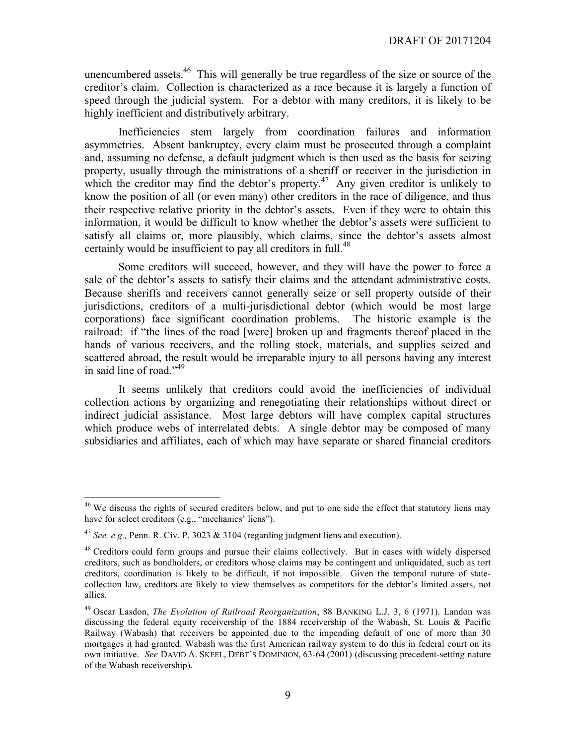unencumbered assets.<sup>46</sup> This will generally be true regardless of the size or source of the creditor's claim. Collection is characterized as a race because it is largely a function of speed through the judicial system. For a debtor with many creditors, it is likely to be highly inefficient and distributively arbitrary.

Inefficiencies stem largely from coordination failures and information asymmetries. Absent bankruptcy, every claim must be prosecuted through a complaint and, assuming no defense, a default judgment which is then used as the basis for seizing property, usually through the ministrations of a sheriff or receiver in the jurisdiction in which the creditor may find the debtor's property.<sup>47</sup> Any given creditor is unlikely to know the position of all (or even many) other creditors in the race of diligence, and thus their respective relative priority in the debtor's assets. Even if they were to obtain this information, it would be difficult to know whether the debtor's assets were sufficient to satisfy all claims or, more plausibly, which claims, since the debtor's assets almost certainly would be insufficient to pay all creditors in full.<sup>48</sup>

Some creditors will succeed, however, and they will have the power to force a sale of the debtor's assets to satisfy their claims and the attendant administrative costs. Because sheriffs and receivers cannot generally seize or sell property outside of their jurisdictions, creditors of a multi-jurisdictional debtor (which would be most large corporations) face significant coordination problems. The historic example is the railroad: if "the lines of the road [were] broken up and fragments thereof placed in the hands of various receivers, and the rolling stock, materials, and supplies seized and scattered abroad, the result would be irreparable injury to all persons having any interest in said line of road."<sup>49</sup>

It seems unlikely that creditors could avoid the inefficiencies of individual collection actions by organizing and renegotiating their relationships without direct or indirect judicial assistance. Most large debtors will have complex capital structures which produce webs of interrelated debts. A single debtor may be composed of many subsidiaries and affiliates, each of which may have separate or shared financial creditors

<sup>&</sup>lt;sup>46</sup> We discuss the rights of secured creditors below, and put to one side the effect that statutory liens may have for select creditors (e.g., "mechanics' liens").

<sup>&</sup>lt;sup>47</sup> *See, e.g., Penn. R. Civ. P.* 3023  $\&$  3104 (regarding judgment liens and execution).

<sup>&</sup>lt;sup>48</sup> Creditors could form groups and pursue their claims collectively. But in cases with widely dispersed creditors, such as bondholders, or creditors whose claims may be contingent and unliquidated, such as tort creditors, coordination is likely to be difficult, if not impossible. Given the temporal nature of statecollection law, creditors are likely to view themselves as competitors for the debtor's limited assets, not allies.

<sup>49</sup> Oscar Lasdon, *The Evolution of Railroad Reorganization*, 88 BANKING L.J. 3, 6 (1971). Landon was discussing the federal equity receivership of the 1884 receivership of the Wabash, St. Louis & Pacific Railway (Wabash) that receivers be appointed due to the impending default of one of more than 30 mortgages it had granted. Wabash was the first American railway system to do this in federal court on its own initiative. *See* DAVID A. SKEEL, DEBT'S DOMINION, 63-64 (2001) (discussing precedent-setting nature of the Wabash receivership).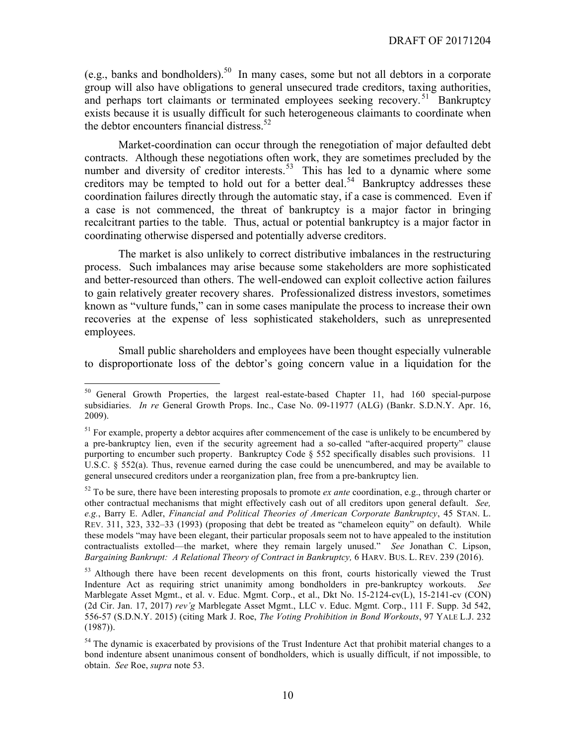(e.g., banks and bondholders).<sup>50</sup> In many cases, some but not all debtors in a corporate group will also have obligations to general unsecured trade creditors, taxing authorities, and perhaps tort claimants or terminated employees seeking recovery.<sup>51</sup> Bankruptcy exists because it is usually difficult for such heterogeneous claimants to coordinate when the debtor encounters financial distress.<sup>52</sup>

Market-coordination can occur through the renegotiation of major defaulted debt contracts. Although these negotiations often work, they are sometimes precluded by the number and diversity of creditor interests.<sup>53</sup> This has led to a dynamic where some creditors may be tempted to hold out for a better deal.<sup>54</sup> Bankruptcy addresses these coordination failures directly through the automatic stay, if a case is commenced. Even if a case is not commenced, the threat of bankruptcy is a major factor in bringing recalcitrant parties to the table. Thus, actual or potential bankruptcy is a major factor in coordinating otherwise dispersed and potentially adverse creditors.

The market is also unlikely to correct distributive imbalances in the restructuring process. Such imbalances may arise because some stakeholders are more sophisticated and better-resourced than others. The well-endowed can exploit collective action failures to gain relatively greater recovery shares. Professionalized distress investors, sometimes known as "vulture funds," can in some cases manipulate the process to increase their own recoveries at the expense of less sophisticated stakeholders, such as unrepresented employees.

Small public shareholders and employees have been thought especially vulnerable to disproportionate loss of the debtor's going concern value in a liquidation for the

<sup>&</sup>lt;sup>50</sup> General Growth Properties, the largest real-estate-based Chapter 11, had 160 special-purpose subsidiaries. *In re* General Growth Props. Inc., Case No. 09-11977 (ALG) (Bankr. S.D.N.Y. Apr. 16, 2009).

 $<sup>51</sup>$  For example, property a debtor acquires after commencement of the case is unlikely to be encumbered by</sup> a pre-bankruptcy lien, even if the security agreement had a so-called "after-acquired property" clause purporting to encumber such property. Bankruptcy Code § 552 specifically disables such provisions. 11 U.S.C.  $\S$  552(a). Thus, revenue earned during the case could be unencumbered, and may be available to general unsecured creditors under a reorganization plan, free from a pre-bankruptcy lien.

<sup>52</sup> To be sure, there have been interesting proposals to promote *ex ante* coordination, e.g., through charter or other contractual mechanisms that might effectively cash out of all creditors upon general default. *See, e.g.*, Barry E. Adler, *Financial and Political Theories of American Corporate Bankruptcy*, 45 STAN. L. REV. 311, 323, 332–33 (1993) (proposing that debt be treated as "chameleon equity" on default). While these models "may have been elegant, their particular proposals seem not to have appealed to the institution contractualists extolled—the market, where they remain largely unused." *See* Jonathan C. Lipson, *Bargaining Bankrupt: A Relational Theory of Contract in Bankruptcy,* 6 HARV. BUS. L. REV. 239 (2016).

<sup>&</sup>lt;sup>53</sup> Although there have been recent developments on this front, courts historically viewed the Trust Indenture Act as requiring strict unanimity among bondholders in pre-bankruptcy workouts. *See*  Marblegate Asset Mgmt., et al. v. Educ. Mgmt. Corp., et al., Dkt No. 15-2124-cv(L), 15-2141-cv (CON) (2d Cir. Jan. 17, 2017) *rev'g* Marblegate Asset Mgmt., LLC v. Educ. Mgmt. Corp., 111 F. Supp. 3d 542, 556-57 (S.D.N.Y. 2015) (citing Mark J. Roe, *The Voting Prohibition in Bond Workouts*, 97 YALE L.J. 232 (1987)).

<sup>&</sup>lt;sup>54</sup> The dynamic is exacerbated by provisions of the Trust Indenture Act that prohibit material changes to a bond indenture absent unanimous consent of bondholders, which is usually difficult, if not impossible, to obtain. *See* Roe, *supra* note 53.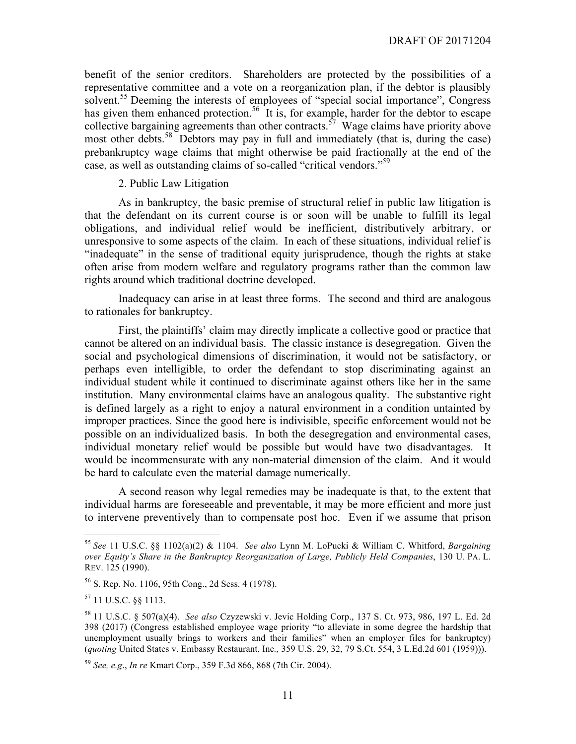benefit of the senior creditors. Shareholders are protected by the possibilities of a representative committee and a vote on a reorganization plan, if the debtor is plausibly solvent.<sup>55</sup> Deeming the interests of employees of "special social importance", Congress has given them enhanced protection.<sup>56</sup> It is, for example, harder for the debtor to escape collective bargaining agreements than other contracts.<sup>57</sup> Wage claims have priority above most other debts.<sup>58</sup> Debtors may pay in full and immediately (that is, during the case) prebankruptcy wage claims that might otherwise be paid fractionally at the end of the case, as well as outstanding claims of so-called "critical vendors."<sup>59</sup>

#### 2. Public Law Litigation

As in bankruptcy, the basic premise of structural relief in public law litigation is that the defendant on its current course is or soon will be unable to fulfill its legal obligations, and individual relief would be inefficient, distributively arbitrary, or unresponsive to some aspects of the claim. In each of these situations, individual relief is "inadequate" in the sense of traditional equity jurisprudence, though the rights at stake often arise from modern welfare and regulatory programs rather than the common law rights around which traditional doctrine developed.

Inadequacy can arise in at least three forms. The second and third are analogous to rationales for bankruptcy.

First, the plaintiffs' claim may directly implicate a collective good or practice that cannot be altered on an individual basis. The classic instance is desegregation. Given the social and psychological dimensions of discrimination, it would not be satisfactory, or perhaps even intelligible, to order the defendant to stop discriminating against an individual student while it continued to discriminate against others like her in the same institution. Many environmental claims have an analogous quality. The substantive right is defined largely as a right to enjoy a natural environment in a condition untainted by improper practices. Since the good here is indivisible, specific enforcement would not be possible on an individualized basis. In both the desegregation and environmental cases, individual monetary relief would be possible but would have two disadvantages. It would be incommensurate with any non-material dimension of the claim. And it would be hard to calculate even the material damage numerically.

A second reason why legal remedies may be inadequate is that, to the extent that individual harms are foreseeable and preventable, it may be more efficient and more just to intervene preventively than to compensate post hoc. Even if we assume that prison

 <sup>55</sup> *See* 11 U.S.C. §§ 1102(a)(2) & 1104. *See also* Lynn M. LoPucki & William C. Whitford, *Bargaining over Equity's Share in the Bankruptcy Reorganization of Large, Publicly Held Companies*, 130 U. PA. L. REV. 125 (1990).

<sup>56</sup> S. Rep. No. 1106, 95th Cong., 2d Sess. 4 (1978).

<sup>57</sup> 11 U.S.C. §§ 1113.

<sup>58</sup> 11 U.S.C. § 507(a)(4). *See also* Czyzewski v. Jevic Holding Corp., 137 S. Ct. 973, 986, 197 L. Ed. 2d 398 (2017) (Congress established employee wage priority "to alleviate in some degree the hardship that unemployment usually brings to workers and their families" when an employer files for bankruptcy) (*quoting* United States v. Embassy Restaurant, Inc*.,* 359 U.S. 29, 32, 79 S.Ct. 554, 3 L.Ed.2d 601 (1959))).

<sup>59</sup> *See, e.g*., *In re* Kmart Corp., 359 F.3d 866, 868 (7th Cir. 2004).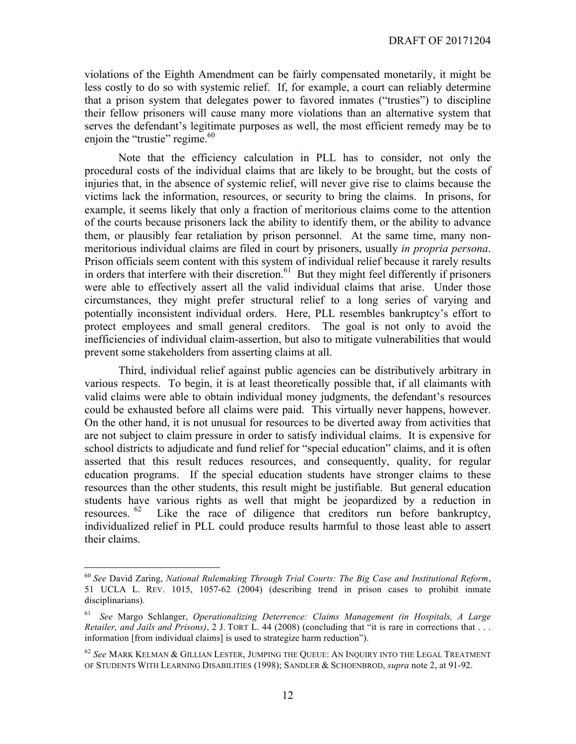violations of the Eighth Amendment can be fairly compensated monetarily, it might be less costly to do so with systemic relief. If, for example, a court can reliably determine that a prison system that delegates power to favored inmates ("trusties") to discipline their fellow prisoners will cause many more violations than an alternative system that serves the defendant's legitimate purposes as well, the most efficient remedy may be to enjoin the "trustie" regime. $60$ 

Note that the efficiency calculation in PLL has to consider, not only the procedural costs of the individual claims that are likely to be brought, but the costs of injuries that, in the absence of systemic relief, will never give rise to claims because the victims lack the information, resources, or security to bring the claims. In prisons, for example, it seems likely that only a fraction of meritorious claims come to the attention of the courts because prisoners lack the ability to identify them, or the ability to advance them, or plausibly fear retaliation by prison personnel. At the same time, many nonmeritorious individual claims are filed in court by prisoners, usually *in propria persona*. Prison officials seem content with this system of individual relief because it rarely results in orders that interfere with their discretion.<sup>61</sup> But they might feel differently if prisoners were able to effectively assert all the valid individual claims that arise. Under those circumstances, they might prefer structural relief to a long series of varying and potentially inconsistent individual orders. Here, PLL resembles bankruptcy's effort to protect employees and small general creditors. The goal is not only to avoid the inefficiencies of individual claim-assertion, but also to mitigate vulnerabilities that would prevent some stakeholders from asserting claims at all.

Third, individual relief against public agencies can be distributively arbitrary in various respects. To begin, it is at least theoretically possible that, if all claimants with valid claims were able to obtain individual money judgments, the defendant's resources could be exhausted before all claims were paid. This virtually never happens, however. On the other hand, it is not unusual for resources to be diverted away from activities that are not subject to claim pressure in order to satisfy individual claims. It is expensive for school districts to adjudicate and fund relief for "special education" claims, and it is often asserted that this result reduces resources, and consequently, quality, for regular education programs. If the special education students have stronger claims to these resources than the other students, this result might be justifiable. But general education students have various rights as well that might be jeopardized by a reduction in resources.  $62$  Like the race of diligence that creditors run before bankruntcy. Like the race of diligence that creditors run before bankruptcy, individualized relief in PLL could produce results harmful to those least able to assert their claims.

 <sup>60</sup> *See* David Zaring, *National Rulemaking Through Trial Courts: The Big Case and Institutional Reform*, 51 UCLA L. REV. 1015, 1057-62 (2004) (describing trend in prison cases to prohibit inmate disciplinarians).

<sup>61</sup> *See* Margo Schlanger, *Operationalizing Deterrence: Claims Management (in Hospitals, A Large Retailer, and Jails and Prisons)*, 2 J. TORT L. 44 (2008) (concluding that "it is rare in corrections that . . . information [from individual claims] is used to strategize harm reduction").

<sup>62</sup> *See* MARK KELMAN & GILLIAN LESTER, JUMPING THE QUEUE: AN INQUIRY INTO THE LEGAL TREATMENT OF STUDENTS WITH LEARNING DISABILITIES (1998); SANDLER & SCHOENBROD, *supra* note 2, at 91-92.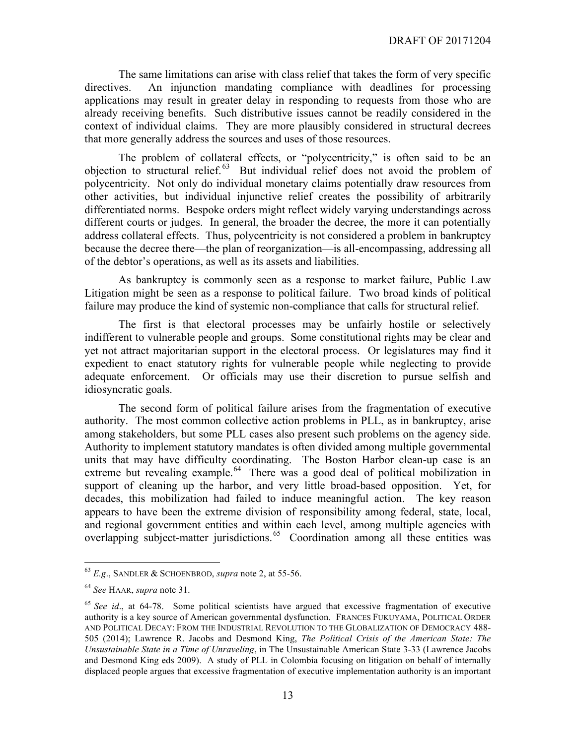The same limitations can arise with class relief that takes the form of very specific directives. An injunction mandating compliance with deadlines for processing applications may result in greater delay in responding to requests from those who are already receiving benefits. Such distributive issues cannot be readily considered in the context of individual claims. They are more plausibly considered in structural decrees that more generally address the sources and uses of those resources.

The problem of collateral effects, or "polycentricity," is often said to be an objection to structural relief. <sup>63</sup> But individual relief does not avoid the problem of polycentricity. Not only do individual monetary claims potentially draw resources from other activities, but individual injunctive relief creates the possibility of arbitrarily differentiated norms. Bespoke orders might reflect widely varying understandings across different courts or judges. In general, the broader the decree, the more it can potentially address collateral effects. Thus, polycentricity is not considered a problem in bankruptcy because the decree there—the plan of reorganization—is all-encompassing, addressing all of the debtor's operations, as well as its assets and liabilities.

As bankruptcy is commonly seen as a response to market failure, Public Law Litigation might be seen as a response to political failure. Two broad kinds of political failure may produce the kind of systemic non-compliance that calls for structural relief.

The first is that electoral processes may be unfairly hostile or selectively indifferent to vulnerable people and groups. Some constitutional rights may be clear and yet not attract majoritarian support in the electoral process. Or legislatures may find it expedient to enact statutory rights for vulnerable people while neglecting to provide adequate enforcement. Or officials may use their discretion to pursue selfish and idiosyncratic goals.

The second form of political failure arises from the fragmentation of executive authority. The most common collective action problems in PLL, as in bankruptcy, arise among stakeholders, but some PLL cases also present such problems on the agency side. Authority to implement statutory mandates is often divided among multiple governmental units that may have difficulty coordinating. The Boston Harbor clean-up case is an extreme but revealing example.<sup>64</sup> There was a good deal of political mobilization in support of cleaning up the harbor, and very little broad-based opposition. Yet, for decades, this mobilization had failed to induce meaningful action. The key reason appears to have been the extreme division of responsibility among federal, state, local, and regional government entities and within each level, among multiple agencies with overlapping subject-matter jurisdictions.<sup>65</sup> Coordination among all these entities was

 <sup>63</sup> *E.g*., SANDLER & SCHOENBROD, *supra* note 2, at 55-56.

<sup>64</sup> *See* HAAR, *supra* note 31.

<sup>65</sup> *See id*., at 64-78. Some political scientists have argued that excessive fragmentation of executive authority is a key source of American governmental dysfunction. FRANCES FUKUYAMA, POLITICAL ORDER AND POLITICAL DECAY: FROM THE INDUSTRIAL REVOLUTION TO THE GLOBALIZATION OF DEMOCRACY 488- 505 (2014); Lawrence R. Jacobs and Desmond King, *The Political Crisis of the American State: The Unsustainable State in a Time of Unraveling*, in The Unsustainable American State 3-33 (Lawrence Jacobs and Desmond King eds 2009). A study of PLL in Colombia focusing on litigation on behalf of internally displaced people argues that excessive fragmentation of executive implementation authority is an important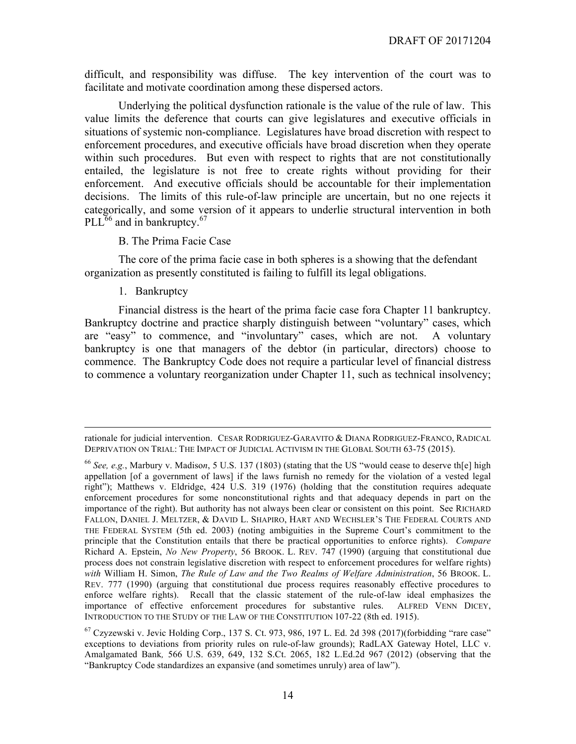difficult, and responsibility was diffuse. The key intervention of the court was to facilitate and motivate coordination among these dispersed actors.

Underlying the political dysfunction rationale is the value of the rule of law. This value limits the deference that courts can give legislatures and executive officials in situations of systemic non-compliance. Legislatures have broad discretion with respect to enforcement procedures, and executive officials have broad discretion when they operate within such procedures. But even with respect to rights that are not constitutionally entailed, the legislature is not free to create rights without providing for their enforcement. And executive officials should be accountable for their implementation decisions. The limits of this rule-of-law principle are uncertain, but no one rejects it categorically, and some version of it appears to underlie structural intervention in both  $PLL<sup>66</sup>$  and in bankruptcy.<sup>67</sup>

#### B. The Prima Facie Case

The core of the prima facie case in both spheres is a showing that the defendant organization as presently constituted is failing to fulfill its legal obligations.

1. Bankruptcy

 $\overline{a}$ 

Financial distress is the heart of the prima facie case fora Chapter 11 bankruptcy. Bankruptcy doctrine and practice sharply distinguish between "voluntary" cases, which are "easy" to commence, and "involuntary" cases, which are not. A voluntary bankruptcy is one that managers of the debtor (in particular, directors) choose to commence. The Bankruptcy Code does not require a particular level of financial distress to commence a voluntary reorganization under Chapter 11, such as technical insolvency;

rationale for judicial intervention. CESAR RODRIGUEZ-GARAVITO & DIANA RODRIGUEZ-FRANCO, RADICAL DEPRIVATION ON TRIAL: THE IMPACT OF JUDICIAL ACTIVISM IN THE GLOBAL SOUTH 63-75 (2015).

<sup>66</sup> *See, e.g.*, Marbury v. Madiso*n*, 5 U.S. 137 (1803) (stating that the US "would cease to deserve th[e] high appellation [of a government of laws] if the laws furnish no remedy for the violation of a vested legal right"); Matthews v. Eldridge, 424 U.S. 319 (1976) (holding that the constitution requires adequate enforcement procedures for some nonconstitutional rights and that adequacy depends in part on the importance of the right). But authority has not always been clear or consistent on this point. See RICHARD FALLON, DANIEL J. MELTZER, & DAVID L. SHAPIRO, HART AND WECHSLER'S THE FEDERAL COURTS AND THE FEDERAL SYSTEM (5th ed. 2003) (noting ambiguities in the Supreme Court's commitment to the principle that the Constitution entails that there be practical opportunities to enforce rights). *Compare* Richard A. Epstein, *No New Property*, 56 BROOK. L. REV. 747 (1990) (arguing that constitutional due process does not constrain legislative discretion with respect to enforcement procedures for welfare rights) *with* William H. Simon, *The Rule of Law and the Two Realms of Welfare Administration*, 56 BROOK. L. REV. 777 (1990) (arguing that constitutional due process requires reasonably effective procedures to enforce welfare rights). Recall that the classic statement of the rule-of-law ideal emphasizes the importance of effective enforcement procedures for substantive rules. ALFRED VENN DICEY, INTRODUCTION TO THE STUDY OF THE LAW OF THE CONSTITUTION 107-22 (8th ed. 1915).

 $^{67}$  Czyzewski v. Jevic Holding Corp., 137 S. Ct. 973, 986, 197 L. Ed. 2d 398 (2017)(forbidding "rare case" exceptions to deviations from priority rules on rule-of-law grounds); RadLAX Gateway Hotel, LLC v. Amalgamated Bank*,* 566 U.S. 639, 649, 132 S.Ct. 2065, 182 L.Ed.2d 967 (2012) (observing that the "Bankruptcy Code standardizes an expansive (and sometimes unruly) area of law").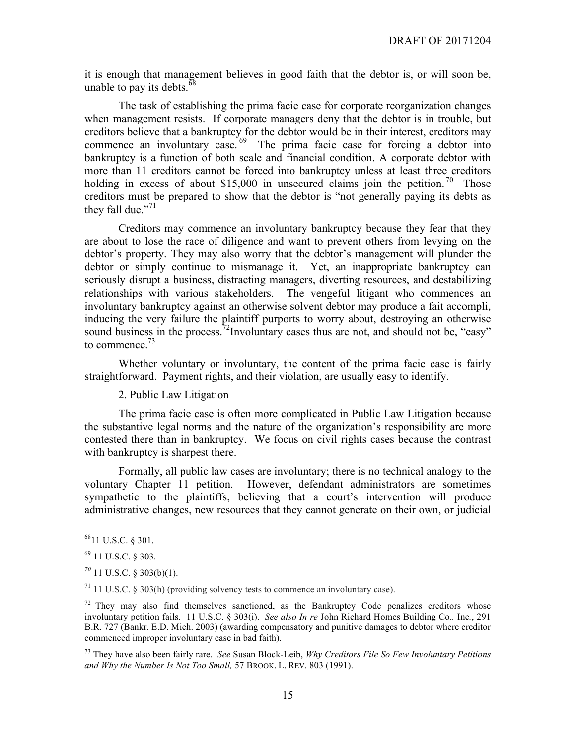it is enough that management believes in good faith that the debtor is, or will soon be, unable to pay its debts.  $\frac{68}{68}$ 

The task of establishing the prima facie case for corporate reorganization changes when management resists. If corporate managers deny that the debtor is in trouble, but creditors believe that a bankruptcy for the debtor would be in their interest, creditors may commence an involuntary case.  $69$  The prima facie case for forcing a debtor into bankruptcy is a function of both scale and financial condition. A corporate debtor with more than 11 creditors cannot be forced into bankruptcy unless at least three creditors holding in excess of about \$15,000 in unsecured claims join the petition.<sup>70</sup> Those creditors must be prepared to show that the debtor is "not generally paying its debts as they fall due."<sup>71</sup>

Creditors may commence an involuntary bankruptcy because they fear that they are about to lose the race of diligence and want to prevent others from levying on the debtor's property. They may also worry that the debtor's management will plunder the debtor or simply continue to mismanage it. Yet, an inappropriate bankruptcy can seriously disrupt a business, distracting managers, diverting resources, and destabilizing relationships with various stakeholders. The vengeful litigant who commences an involuntary bankruptcy against an otherwise solvent debtor may produce a fait accompli, inducing the very failure the plaintiff purports to worry about, destroying an otherwise sound business in the process.<sup>72</sup>Involuntary cases thus are not, and should not be, "easy" to commence.<sup>73</sup>

Whether voluntary or involuntary, the content of the prima facie case is fairly straightforward. Payment rights, and their violation, are usually easy to identify.

2. Public Law Litigation

The prima facie case is often more complicated in Public Law Litigation because the substantive legal norms and the nature of the organization's responsibility are more contested there than in bankruptcy. We focus on civil rights cases because the contrast with bankruptcy is sharpest there.

Formally, all public law cases are involuntary; there is no technical analogy to the voluntary Chapter 11 petition. However, defendant administrators are sometimes sympathetic to the plaintiffs, believing that a court's intervention will produce administrative changes, new resources that they cannot generate on their own, or judicial

 $71$  11 U.S.C. § 303(h) (providing solvency tests to commence an involuntary case).

 $72$  They may also find themselves sanctioned, as the Bankruptcy Code penalizes creditors whose involuntary petition fails. 11 U.S.C. § 303(i). *See also In re* John Richard Homes Building Co.*,* Inc*.*, 291 B.R. 727 (Bankr. E.D. Mich. 2003) (awarding compensatory and punitive damages to debtor where creditor commenced improper involuntary case in bad faith).

<sup>73</sup> They have also been fairly rare. *See* Susan Block-Leib, *Why Creditors File So Few Involuntary Petitions and Why the Number Is Not Too Small,* 57 BROOK. L. REV. 803 (1991).

 <sup>6811</sup> U.S.C. § 301.

<sup>69</sup> 11 U.S.C. § 303.

*<sup>70</sup>* 11 U.S.C. § 303(b)(1).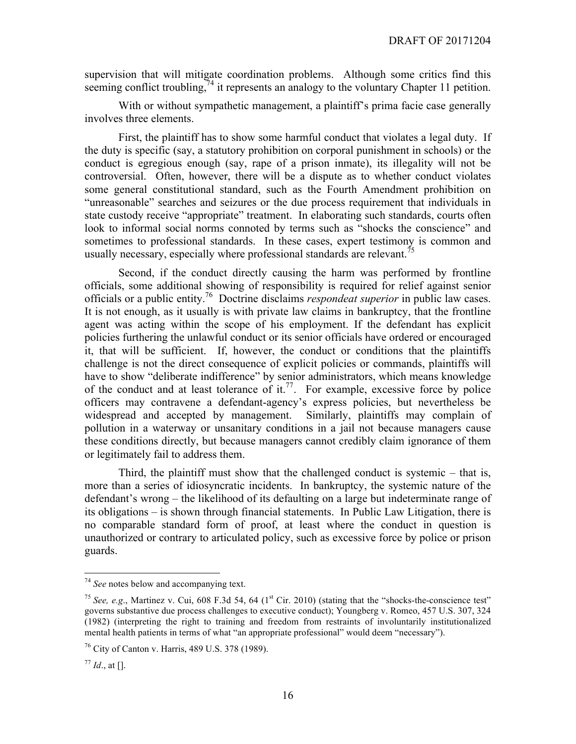supervision that will mitigate coordination problems. Although some critics find this seeming conflict troubling,  $\frac{7}{4}$  it represents an analogy to the voluntary Chapter 11 petition.

With or without sympathetic management, a plaintiff's prima facie case generally involves three elements.

First, the plaintiff has to show some harmful conduct that violates a legal duty. If the duty is specific (say, a statutory prohibition on corporal punishment in schools) or the conduct is egregious enough (say, rape of a prison inmate), its illegality will not be controversial. Often, however, there will be a dispute as to whether conduct violates some general constitutional standard, such as the Fourth Amendment prohibition on "unreasonable" searches and seizures or the due process requirement that individuals in state custody receive "appropriate" treatment. In elaborating such standards, courts often look to informal social norms connoted by terms such as "shocks the conscience" and sometimes to professional standards. In these cases, expert testimony is common and usually necessary, especially where professional standards are relevant.<sup>75</sup>

Second, if the conduct directly causing the harm was performed by frontline officials, some additional showing of responsibility is required for relief against senior officials or a public entity.76 Doctrine disclaims *respondeat superior* in public law cases. It is not enough, as it usually is with private law claims in bankruptcy, that the frontline agent was acting within the scope of his employment. If the defendant has explicit policies furthering the unlawful conduct or its senior officials have ordered or encouraged it, that will be sufficient. If, however, the conduct or conditions that the plaintiffs challenge is not the direct consequence of explicit policies or commands, plaintiffs will have to show "deliberate indifference" by senior administrators, which means knowledge of the conduct and at least tolerance of it.<sup>77</sup>. For example, excessive force by police officers may contravene a defendant-agency's express policies, but nevertheless be widespread and accepted by management. Similarly, plaintiffs may complain of pollution in a waterway or unsanitary conditions in a jail not because managers cause these conditions directly, but because managers cannot credibly claim ignorance of them or legitimately fail to address them.

Third, the plaintiff must show that the challenged conduct is systemic – that is, more than a series of idiosyncratic incidents. In bankruptcy, the systemic nature of the defendant's wrong – the likelihood of its defaulting on a large but indeterminate range of its obligations – is shown through financial statements. In Public Law Litigation, there is no comparable standard form of proof, at least where the conduct in question is unauthorized or contrary to articulated policy, such as excessive force by police or prison guards.

 <sup>74</sup> *See* notes below and accompanying text.

<sup>&</sup>lt;sup>75</sup> *See, e.g.*, Martinez v. Cui, 608 F.3d 54, 64 (1<sup>st</sup> Cir. 2010) (stating that the "shocks-the-conscience test" governs substantive due process challenges to executive conduct); Youngberg v. Romeo, 457 U.S. 307, 324 (1982) (interpreting the right to training and freedom from restraints of involuntarily institutionalized mental health patients in terms of what "an appropriate professional" would deem "necessary").

<sup>76</sup> City of Canton v. Harris, 489 U.S. 378 (1989).

 $77$  *Id.*, at [].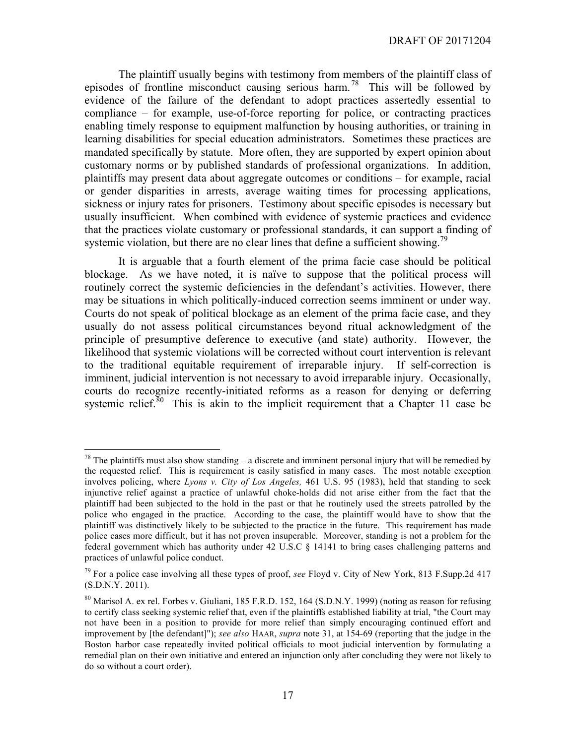The plaintiff usually begins with testimony from members of the plaintiff class of episodes of frontline misconduct causing serious harm. 78 This will be followed by evidence of the failure of the defendant to adopt practices assertedly essential to compliance – for example, use-of-force reporting for police, or contracting practices enabling timely response to equipment malfunction by housing authorities, or training in learning disabilities for special education administrators. Sometimes these practices are mandated specifically by statute. More often, they are supported by expert opinion about customary norms or by published standards of professional organizations. In addition, plaintiffs may present data about aggregate outcomes or conditions – for example, racial or gender disparities in arrests, average waiting times for processing applications, sickness or injury rates for prisoners. Testimony about specific episodes is necessary but usually insufficient. When combined with evidence of systemic practices and evidence that the practices violate customary or professional standards, it can support a finding of systemic violation, but there are no clear lines that define a sufficient showing.<sup>79</sup>

It is arguable that a fourth element of the prima facie case should be political blockage. As we have noted, it is naïve to suppose that the political process will routinely correct the systemic deficiencies in the defendant's activities. However, there may be situations in which politically-induced correction seems imminent or under way. Courts do not speak of political blockage as an element of the prima facie case, and they usually do not assess political circumstances beyond ritual acknowledgment of the principle of presumptive deference to executive (and state) authority. However, the likelihood that systemic violations will be corrected without court intervention is relevant to the traditional equitable requirement of irreparable injury. If self-correction is imminent, judicial intervention is not necessary to avoid irreparable injury. Occasionally, courts do recognize recently-initiated reforms as a reason for denying or deferring systemic relief.<sup>80</sup> This is akin to the implicit requirement that a Chapter 11 case be

<sup>&</sup>lt;sup>78</sup> The plaintiffs must also show standing – a discrete and imminent personal injury that will be remedied by the requested relief. This is requirement is easily satisfied in many cases. The most notable exception involves policing, where *Lyons v. City of Los Angeles,* 461 U.S. 95 (1983), held that standing to seek injunctive relief against a practice of unlawful choke-holds did not arise either from the fact that the plaintiff had been subjected to the hold in the past or that he routinely used the streets patrolled by the police who engaged in the practice. According to the case, the plaintiff would have to show that the plaintiff was distinctively likely to be subjected to the practice in the future. This requirement has made police cases more difficult, but it has not proven insuperable. Moreover, standing is not a problem for the federal government which has authority under 42 U.S.C § 14141 to bring cases challenging patterns and practices of unlawful police conduct.

<sup>79</sup> For a police case involving all these types of proof, *see* Floyd v. City of New York, 813 F.Supp.2d 417  $(S.D.N.\overline{Y}. 2011).$ 

 $80$  Marisol A. ex rel. Forbes v. Giuliani, 185 F.R.D. 152, 164 (S.D.N.Y. 1999) (noting as reason for refusing to certify class seeking systemic relief that, even if the plaintiffs established liability at trial, "the Court may not have been in a position to provide for more relief than simply encouraging continued effort and improvement by [the defendant]"); *see also* HAAR, *supra* note 31, at 154-69 (reporting that the judge in the Boston harbor case repeatedly invited political officials to moot judicial intervention by formulating a remedial plan on their own initiative and entered an injunction only after concluding they were not likely to do so without a court order).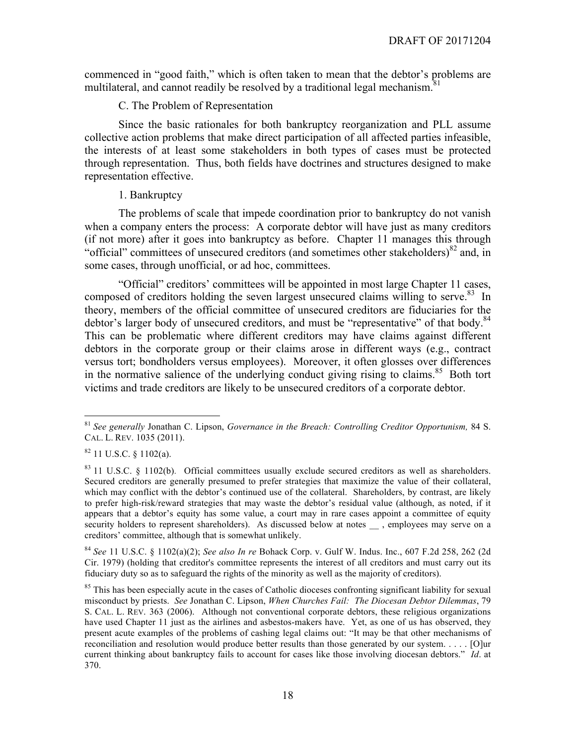commenced in "good faith," which is often taken to mean that the debtor's problems are multilateral, and cannot readily be resolved by a traditional legal mechanism.<sup>81</sup>

#### C. The Problem of Representation

Since the basic rationales for both bankruptcy reorganization and PLL assume collective action problems that make direct participation of all affected parties infeasible, the interests of at least some stakeholders in both types of cases must be protected through representation. Thus, both fields have doctrines and structures designed to make representation effective.

#### 1. Bankruptcy

The problems of scale that impede coordination prior to bankruptcy do not vanish when a company enters the process: A corporate debtor will have just as many creditors (if not more) after it goes into bankruptcy as before. Chapter 11 manages this through "official" committees of unsecured creditors (and sometimes other stakeholders) $82$  and, in some cases, through unofficial, or ad hoc, committees.

"Official" creditors' committees will be appointed in most large Chapter 11 cases, composed of creditors holding the seven largest unsecured claims willing to serve.<sup>83</sup> In theory, members of the official committee of unsecured creditors are fiduciaries for the debtor's larger body of unsecured creditors, and must be "representative" of that body.<sup>84</sup> This can be problematic where different creditors may have claims against different debtors in the corporate group or their claims arose in different ways (e.g., contract versus tort; bondholders versus employees). Moreover, it often glosses over differences in the normative salience of the underlying conduct giving rising to claims.<sup>85</sup> Both tort victims and trade creditors are likely to be unsecured creditors of a corporate debtor.

<sup>84</sup> *See* 11 U.S.C. § 1102(a)(2); *See also In re* Bohack Corp. v. Gulf W. Indus. Inc., 607 F.2d 258, 262 (2d Cir. 1979) (holding that creditor's committee represents the interest of all creditors and must carry out its fiduciary duty so as to safeguard the rights of the minority as well as the majority of creditors).

 <sup>81</sup> *See generally* Jonathan C. Lipson, *Governance in the Breach: Controlling Creditor Opportunism,* 84 S. CAL. L. REV. 1035 (2011).

 $82$  11 U.S.C. § 1102(a).

 $83$  11 U.S.C. § 1102(b). Official committees usually exclude secured creditors as well as shareholders. Secured creditors are generally presumed to prefer strategies that maximize the value of their collateral, which may conflict with the debtor's continued use of the collateral. Shareholders, by contrast, are likely to prefer high-risk/reward strategies that may waste the debtor's residual value (although, as noted, if it appears that a debtor's equity has some value, a court may in rare cases appoint a committee of equity security holders to represent shareholders). As discussed below at notes , employees may serve on a creditors' committee, although that is somewhat unlikely.

<sup>&</sup>lt;sup>85</sup> This has been especially acute in the cases of Catholic dioceses confronting significant liability for sexual misconduct by priests. *See* Jonathan C. Lipson, *When Churches Fail: The Diocesan Debtor Dilemmas*, 79 S. CAL. L. REV. 363 (2006). Although not conventional corporate debtors, these religious organizations have used Chapter 11 just as the airlines and asbestos-makers have. Yet, as one of us has observed, they present acute examples of the problems of cashing legal claims out: "It may be that other mechanisms of reconciliation and resolution would produce better results than those generated by our system. . . . . [O]ur current thinking about bankruptcy fails to account for cases like those involving diocesan debtors." *Id*. at 370.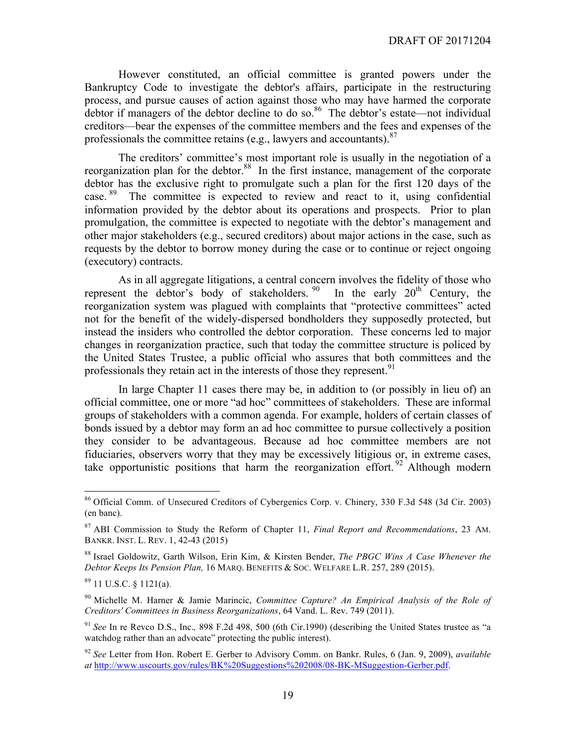However constituted, an official committee is granted powers under the Bankruptcy Code to investigate the debtor's affairs, participate in the restructuring process, and pursue causes of action against those who may have harmed the corporate debtor if managers of the debtor decline to do so.<sup>86</sup> The debtor's estate—not individual creditors—bear the expenses of the committee members and the fees and expenses of the professionals the committee retains (e.g., lawyers and accountants). $87$ 

The creditors' committee's most important role is usually in the negotiation of a reorganization plan for the debtor.<sup>88</sup> In the first instance, management of the corporate debtor has the exclusive right to promulgate such a plan for the first 120 days of the case.<sup>89</sup> The committee is expected to review and react to it, using confidential information provided by the debtor about its operations and prospects. Prior to plan promulgation, the committee is expected to negotiate with the debtor's management and other major stakeholders (e.g., secured creditors) about major actions in the case, such as requests by the debtor to borrow money during the case or to continue or reject ongoing (executory) contracts.

As in all aggregate litigations, a central concern involves the fidelity of those who represent the debtor's body of stakeholders.  $90$  In the early  $20<sup>th</sup>$  Century, the reorganization system was plagued with complaints that "protective committees" acted not for the benefit of the widely-dispersed bondholders they supposedly protected, but instead the insiders who controlled the debtor corporation. These concerns led to major changes in reorganization practice, such that today the committee structure is policed by the United States Trustee, a public official who assures that both committees and the professionals they retain act in the interests of those they represent.<sup>91</sup>

In large Chapter 11 cases there may be, in addition to (or possibly in lieu of) an official committee, one or more "ad hoc" committees of stakeholders. These are informal groups of stakeholders with a common agenda. For example, holders of certain classes of bonds issued by a debtor may form an ad hoc committee to pursue collectively a position they consider to be advantageous. Because ad hoc committee members are not fiduciaries, observers worry that they may be excessively litigious or, in extreme cases, take opportunistic positions that harm the reorganization effort.  $92$  Although modern

<sup>92</sup> *See* Letter from Hon. Robert E. Gerber to Advisory Comm. on Bankr. Rules, 6 (Jan. 9, 2009), *available at* http://www.uscourts.gov/rules/BK%20Suggestions%202008/08-BK-MSuggestion-Gerber.pdf.

 <sup>86</sup> Official Comm. of Unsecured Creditors of Cybergenics Corp. v. Chinery, 330 F.3d 548 (3d Cir. 2003) (en banc).

<sup>87</sup> ABI Commission to Study the Reform of Chapter 11, *Final Report and Recommendations*, 23 AM. BANKR. INST. L. REV. 1, 42-43 (2015)

<sup>88</sup> Israel Goldowitz, Garth Wilson, Erin Kim, & Kirsten Bender, *The PBGC Wins A Case Whenever the Debtor Keeps Its Pension Plan,* 16 MARQ. BENEFITS & SOC. WELFARE L.R. 257, 289 (2015).

<sup>89</sup> 11 U.S.C. § 1121(a).

<sup>90</sup> Michelle M. Harner & Jamie Marincic, *Committee Capture? An Empirical Analysis of the Role of Creditors' Committees in Business Reorganizations*, 64 Vand. L. Rev. 749 (2011).

<sup>91</sup> *See* In re Revco D.S., Inc.*,* 898 F.2d 498, 500 (6th Cir.1990) (describing the United States trustee as "a watchdog rather than an advocate" protecting the public interest).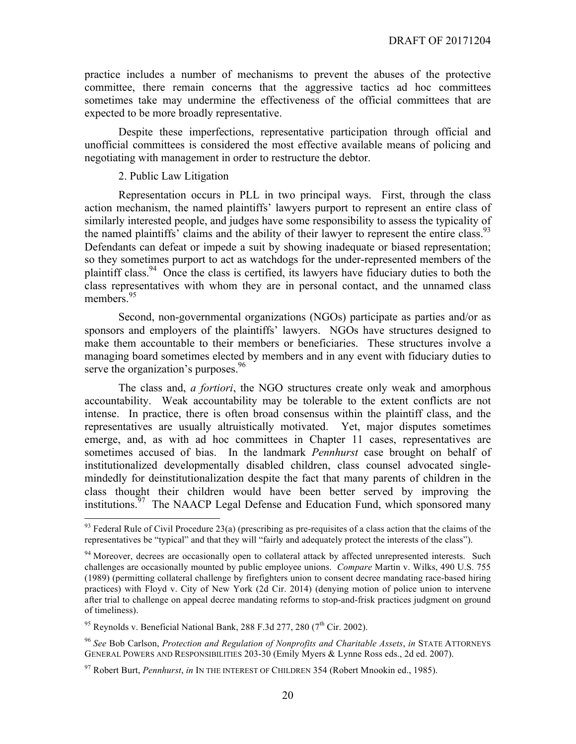practice includes a number of mechanisms to prevent the abuses of the protective committee, there remain concerns that the aggressive tactics ad hoc committees sometimes take may undermine the effectiveness of the official committees that are expected to be more broadly representative.

Despite these imperfections, representative participation through official and unofficial committees is considered the most effective available means of policing and negotiating with management in order to restructure the debtor.

#### 2. Public Law Litigation

Representation occurs in PLL in two principal ways. First, through the class action mechanism, the named plaintiffs' lawyers purport to represent an entire class of similarly interested people, and judges have some responsibility to assess the typicality of the named plaintiffs' claims and the ability of their lawyer to represent the entire class.<sup>93</sup> Defendants can defeat or impede a suit by showing inadequate or biased representation; so they sometimes purport to act as watchdogs for the under-represented members of the plaintiff class.<sup>94</sup> Once the class is certified, its lawyers have fiduciary duties to both the class representatives with whom they are in personal contact, and the unnamed class members.<sup>95</sup>

Second, non-governmental organizations (NGOs) participate as parties and/or as sponsors and employers of the plaintiffs' lawyers. NGOs have structures designed to make them accountable to their members or beneficiaries. These structures involve a managing board sometimes elected by members and in any event with fiduciary duties to serve the organization's purposes.<sup>96</sup>

The class and, *a fortiori*, the NGO structures create only weak and amorphous accountability. Weak accountability may be tolerable to the extent conflicts are not intense. In practice, there is often broad consensus within the plaintiff class, and the representatives are usually altruistically motivated. Yet, major disputes sometimes emerge, and, as with ad hoc committees in Chapter 11 cases, representatives are sometimes accused of bias. In the landmark *Pennhurst* case brought on behalf of institutionalized developmentally disabled children, class counsel advocated singlemindedly for deinstitutionalization despite the fact that many parents of children in the class thought their children would have been better served by improving the institutions.<sup>97</sup> The NAACP Legal Defense and Education Fund, which sponsored many

 $93$  Federal Rule of Civil Procedure 23(a) (prescribing as pre-requisites of a class action that the claims of the representatives be "typical" and that they will "fairly and adequately protect the interests of the class").

<sup>&</sup>lt;sup>94</sup> Moreover, decrees are occasionally open to collateral attack by affected unrepresented interests. Such challenges are occasionally mounted by public employee unions. *Compare* Martin v. Wilks, 490 U.S. 755 (1989) (permitting collateral challenge by firefighters union to consent decree mandating race-based hiring practices) with Floyd v. City of New York (2d Cir. 2014) (denying motion of police union to intervene after trial to challenge on appeal decree mandating reforms to stop-and-frisk practices judgment on ground of timeliness).

<sup>&</sup>lt;sup>95</sup> Reynolds v. Beneficial National Bank, 288 F.3d 277, 280 ( $7<sup>th</sup>$  Cir. 2002).

<sup>96</sup> *See* Bob Carlson, *Protection and Regulation of Nonprofits and Charitable Assets*, *in* STATE ATTORNEYS GENERAL POWERS AND RESPONSIBILITIES 203-30 (Emily Myers & Lynne Ross eds., 2d ed. 2007).

<sup>97</sup> Robert Burt, *Pennhurst*, *in* IN THE INTEREST OF CHILDREN 354 (Robert Mnookin ed., 1985).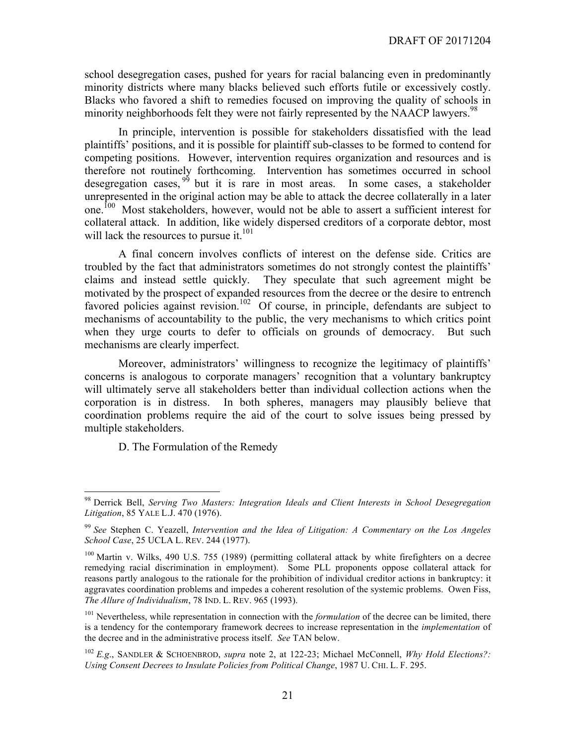school desegregation cases, pushed for years for racial balancing even in predominantly minority districts where many blacks believed such efforts futile or excessively costly. Blacks who favored a shift to remedies focused on improving the quality of schools in minority neighborhoods felt they were not fairly represented by the NAACP lawyers.<sup>98</sup>

In principle, intervention is possible for stakeholders dissatisfied with the lead plaintiffs' positions, and it is possible for plaintiff sub-classes to be formed to contend for competing positions. However, intervention requires organization and resources and is therefore not routinely forthcoming. Intervention has sometimes occurred in school desegregation cases,  $99$  but it is rare in most areas. In some cases, a stakeholder unrepresented in the original action may be able to attack the decree collaterally in a later one.<sup>100</sup> Most stakeholders, however, would not be able to assert a sufficient interest for collateral attack. In addition, like widely dispersed creditors of a corporate debtor, most will lack the resources to pursue it. $101$ 

A final concern involves conflicts of interest on the defense side. Critics are troubled by the fact that administrators sometimes do not strongly contest the plaintiffs' claims and instead settle quickly. They speculate that such agreement might be motivated by the prospect of expanded resources from the decree or the desire to entrench favored policies against revision.<sup>102</sup> Of course, in principle, defendants are subject to mechanisms of accountability to the public, the very mechanisms to which critics point when they urge courts to defer to officials on grounds of democracy. But such mechanisms are clearly imperfect.

Moreover, administrators' willingness to recognize the legitimacy of plaintiffs' concerns is analogous to corporate managers' recognition that a voluntary bankruptcy will ultimately serve all stakeholders better than individual collection actions when the corporation is in distress. In both spheres, managers may plausibly believe that coordination problems require the aid of the court to solve issues being pressed by multiple stakeholders.

D. The Formulation of the Remedy

 <sup>98</sup> Derrick Bell, *Serving Two Masters: Integration Ideals and Client Interests in School Desegregation Litigation*, 85 YALE L.J. 470 (1976).

<sup>99</sup> *See* Stephen C. Yeazell, *Intervention and the Idea of Litigation: A Commentary on the Los Angeles School Case*, 25 UCLA L. REV. 244 (1977).

<sup>&</sup>lt;sup>100</sup> Martin v. Wilks, 490 U.S. 755 (1989) (permitting collateral attack by white firefighters on a decree remedying racial discrimination in employment). Some PLL proponents oppose collateral attack for reasons partly analogous to the rationale for the prohibition of individual creditor actions in bankruptcy: it aggravates coordination problems and impedes a coherent resolution of the systemic problems. Owen Fiss, *The Allure of Individualism*, 78 IND. L. REV. 965 (1993).

<sup>&</sup>lt;sup>101</sup> Nevertheless, while representation in connection with the *formulation* of the decree can be limited, there is a tendency for the contemporary framework decrees to increase representation in the *implementation* of the decree and in the administrative process itself. *See* TAN below.

<sup>102</sup> *E.g*., SANDLER & SCHOENBROD, *supra* note 2, at 122-23; Michael McConnell, *Why Hold Elections?: Using Consent Decrees to Insulate Policies from Political Change*, 1987 U. CHI. L. F. 295.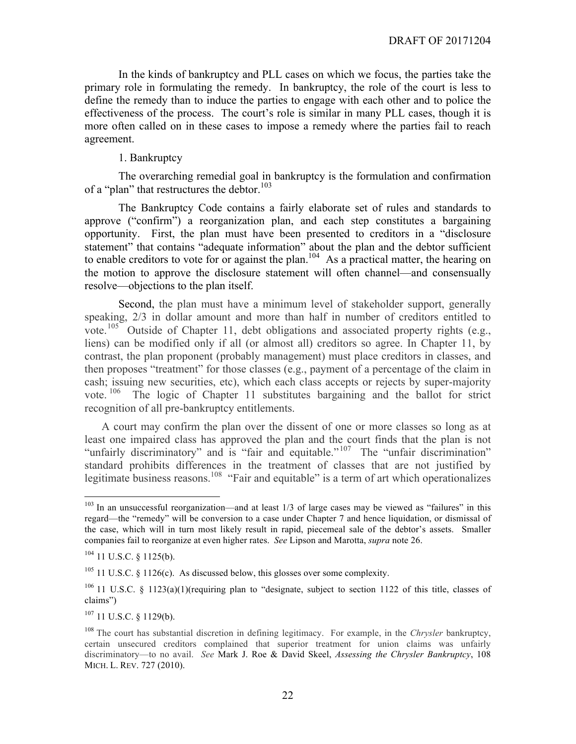In the kinds of bankruptcy and PLL cases on which we focus, the parties take the primary role in formulating the remedy. In bankruptcy, the role of the court is less to define the remedy than to induce the parties to engage with each other and to police the effectiveness of the process. The court's role is similar in many PLL cases, though it is more often called on in these cases to impose a remedy where the parties fail to reach agreement.

#### 1. Bankruptcy

The overarching remedial goal in bankruptcy is the formulation and confirmation of a "plan" that restructures the debtor.<sup>103</sup>

The Bankruptcy Code contains a fairly elaborate set of rules and standards to approve ("confirm") a reorganization plan, and each step constitutes a bargaining opportunity. First, the plan must have been presented to creditors in a "disclosure statement" that contains "adequate information" about the plan and the debtor sufficient to enable creditors to vote for or against the plan.<sup>104</sup> As a practical matter, the hearing on the motion to approve the disclosure statement will often channel—and consensually resolve—objections to the plan itself.

Second, the plan must have a minimum level of stakeholder support, generally speaking, 2/3 in dollar amount and more than half in number of creditors entitled to vote.<sup>105</sup> Outside of Chapter 11, debt obligations and associated property rights (e.g., liens) can be modified only if all (or almost all) creditors so agree. In Chapter 11, by contrast, the plan proponent (probably management) must place creditors in classes, and then proposes "treatment" for those classes (e.g., payment of a percentage of the claim in cash; issuing new securities, etc), which each class accepts or rejects by super-majority vote.  $106$ The logic of Chapter 11 substitutes bargaining and the ballot for strict recognition of all pre-bankruptcy entitlements.

A court may confirm the plan over the dissent of one or more classes so long as at least one impaired class has approved the plan and the court finds that the plan is not "unfairly discriminatory" and is "fair and equitable."<sup>107</sup> The "unfair discrimination" standard prohibits differences in the treatment of classes that are not justified by legitimate business reasons.<sup>108</sup> "Fair and equitable" is a term of art which operationalizes

 $107$  11 U.S.C. § 1129(b).

<sup>&</sup>lt;sup>103</sup> In an unsuccessful reorganization—and at least 1/3 of large cases may be viewed as "failures" in this regard—the "remedy" will be conversion to a case under Chapter 7 and hence liquidation, or dismissal of the case, which will in turn most likely result in rapid, piecemeal sale of the debtor's assets. Smaller companies fail to reorganize at even higher rates. *See* Lipson and Marotta, *supra* note 26.

 $104$  11 U.S.C. § 1125(b).

 $105$  11 U.S.C. § 1126(c). As discussed below, this glosses over some complexity.

<sup>&</sup>lt;sup>106</sup> 11 U.S.C. § 1123(a)(1)(requiring plan to "designate, subject to section 1122 of this title, classes of claims")

<sup>108</sup> The court has substantial discretion in defining legitimacy. For example, in the *Chrysler* bankruptcy, certain unsecured creditors complained that superior treatment for union claims was unfairly discriminatory—to no avail. *See* Mark J. Roe & David Skeel, *Assessing the Chrysler Bankruptcy*, 108 MICH. L. REV. 727 (2010).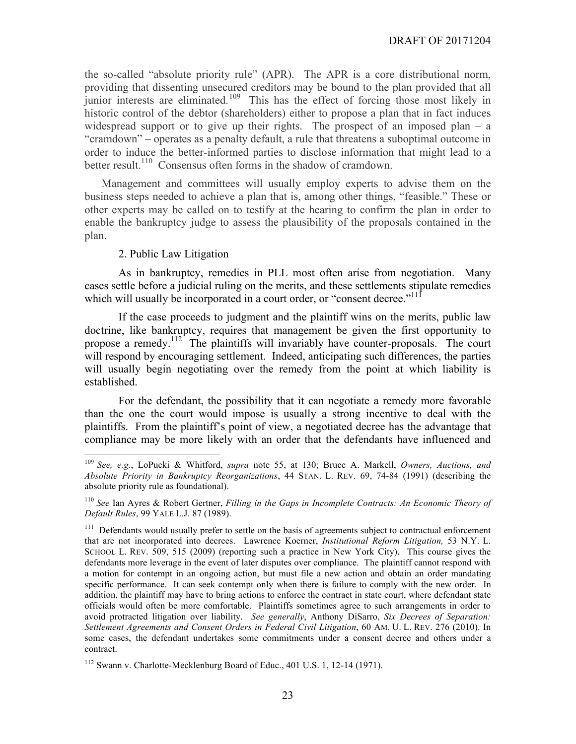the so-called "absolute priority rule" (APR). The APR is a core distributional norm, providing that dissenting unsecured creditors may be bound to the plan provided that all junior interests are eliminated.<sup>109</sup> This has the effect of forcing those most likely in historic control of the debtor (shareholders) either to propose a plan that in fact induces widespread support or to give up their rights. The prospect of an imposed plan – a "cramdown" – operates as a penalty default, a rule that threatens a suboptimal outcome in order to induce the better-informed parties to disclose information that might lead to a better result.<sup>110</sup> Consensus often forms in the shadow of cramdown.

Management and committees will usually employ experts to advise them on the business steps needed to achieve a plan that is, among other things, "feasible." These or other experts may be called on to testify at the hearing to confirm the plan in order to enable the bankruptcy judge to assess the plausibility of the proposals contained in the plan.

#### 2. Public Law Litigation

As in bankruptcy, remedies in PLL most often arise from negotiation. Many cases settle before a judicial ruling on the merits, and these settlements stipulate remedies which will usually be incorporated in a court order, or "consent decree." $11$ <sup>11</sup>

If the case proceeds to judgment and the plaintiff wins on the merits, public law doctrine, like bankruptcy, requires that management be given the first opportunity to propose a remedy.112 The plaintiffs will invariably have counter-proposals. The court will respond by encouraging settlement. Indeed, anticipating such differences, the parties will usually begin negotiating over the remedy from the point at which liability is established.

For the defendant, the possibility that it can negotiate a remedy more favorable than the one the court would impose is usually a strong incentive to deal with the plaintiffs. From the plaintiff's point of view, a negotiated decree has the advantage that compliance may be more likely with an order that the defendants have influenced and

 <sup>109</sup> *See, e.g.*, LoPucki & Whitford, *supra* note 55, at 130; Bruce A. Markell, *Owners, Auctions, and Absolute Priority in Bankruptcy Reorganizations*, 44 STAN. L. REV. 69, 74-84 (1991) (describing the absolute priority rule as foundational).

<sup>110</sup> *See* Ian Ayres & Robert Gertner, *Filling in the Gaps in Incomplete Contracts: An Economic Theory of Default Rules*, 99 YALE L.J. 87 (1989).

<sup>&</sup>lt;sup>111</sup> Defendants would usually prefer to settle on the basis of agreements subject to contractual enforcement that are not incorporated into decrees. Lawrence Koerner, *Institutional Reform Litigation,* 53 N.Y. L. SCHOOL L. REV. 509, 515 (2009) (reporting such a practice in New York City). This course gives the defendants more leverage in the event of later disputes over compliance. The plaintiff cannot respond with a motion for contempt in an ongoing action, but must file a new action and obtain an order mandating specific performance. It can seek contempt only when there is failure to comply with the new order. In addition, the plaintiff may have to bring actions to enforce the contract in state court, where defendant state officials would often be more comfortable. Plaintiffs sometimes agree to such arrangements in order to avoid protracted litigation over liability. *See generally*, Anthony DiSarro, *Six Decrees of Separation: Settlement Agreements and Consent Orders in Federal Civil Litigation*, 60 AM. U. L. REV. 276 (2010). In some cases, the defendant undertakes some commitments under a consent decree and others under a contract.

<sup>&</sup>lt;sup>112</sup> Swann v. Charlotte-Mecklenburg Board of Educ., 401 U.S. 1, 12-14 (1971).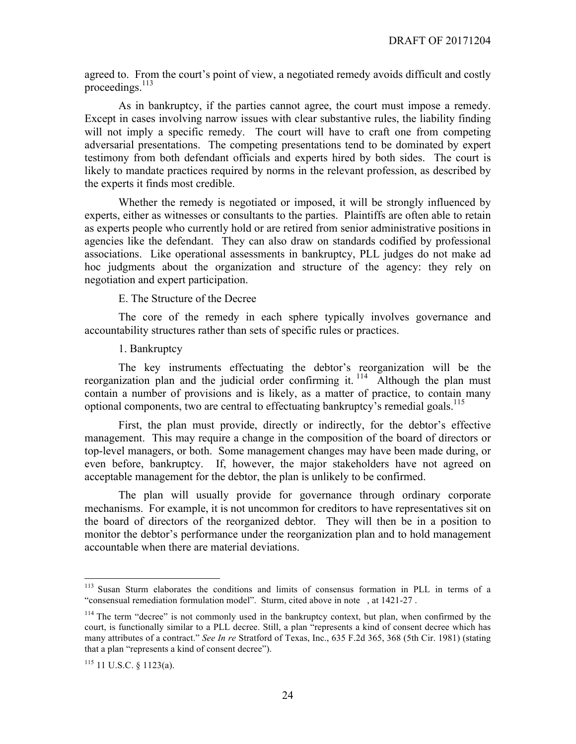agreed to. From the court's point of view, a negotiated remedy avoids difficult and costly proceedings. $113$ 

As in bankruptcy, if the parties cannot agree, the court must impose a remedy. Except in cases involving narrow issues with clear substantive rules, the liability finding will not imply a specific remedy. The court will have to craft one from competing adversarial presentations. The competing presentations tend to be dominated by expert testimony from both defendant officials and experts hired by both sides. The court is likely to mandate practices required by norms in the relevant profession, as described by the experts it finds most credible.

Whether the remedy is negotiated or imposed, it will be strongly influenced by experts, either as witnesses or consultants to the parties. Plaintiffs are often able to retain as experts people who currently hold or are retired from senior administrative positions in agencies like the defendant. They can also draw on standards codified by professional associations. Like operational assessments in bankruptcy, PLL judges do not make ad hoc judgments about the organization and structure of the agency: they rely on negotiation and expert participation.

E. The Structure of the Decree

The core of the remedy in each sphere typically involves governance and accountability structures rather than sets of specific rules or practices.

#### 1. Bankruptcy

The key instruments effectuating the debtor's reorganization will be the reorganization plan and the judicial order confirming it.  $114$  Although the plan must contain a number of provisions and is likely, as a matter of practice, to contain many optional components, two are central to effectuating bankruptcy's remedial goals.<sup>115</sup>

First, the plan must provide, directly or indirectly, for the debtor's effective management. This may require a change in the composition of the board of directors or top-level managers, or both. Some management changes may have been made during, or even before, bankruptcy. If, however, the major stakeholders have not agreed on acceptable management for the debtor, the plan is unlikely to be confirmed.

The plan will usually provide for governance through ordinary corporate mechanisms. For example, it is not uncommon for creditors to have representatives sit on the board of directors of the reorganized debtor. They will then be in a position to monitor the debtor's performance under the reorganization plan and to hold management accountable when there are material deviations.

 <sup>113</sup> Susan Sturm elaborates the conditions and limits of consensus formation in PLL in terms of a "consensual remediation formulation model". Sturm, cited above in note , at 1421-27 .

<sup>&</sup>lt;sup>114</sup> The term "decree" is not commonly used in the bankruptcy context, but plan, when confirmed by the court, is functionally similar to a PLL decree. Still, a plan "represents a kind of consent decree which has many attributes of a contract." *See In re* Stratford of Texas, Inc., 635 F.2d 365, 368 (5th Cir. 1981) (stating that a plan "represents a kind of consent decree").

 $115$  11 U.S.C. § 1123(a).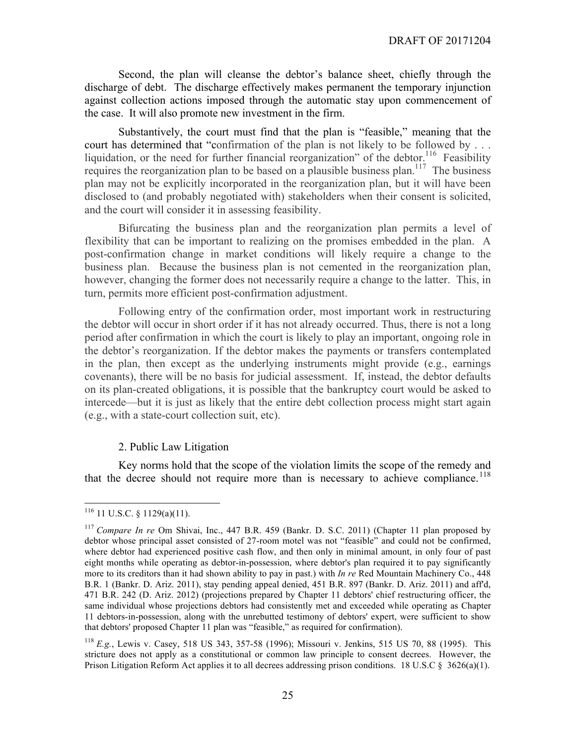Second, the plan will cleanse the debtor's balance sheet, chiefly through the discharge of debt. The discharge effectively makes permanent the temporary injunction against collection actions imposed through the automatic stay upon commencement of the case. It will also promote new investment in the firm.

Substantively, the court must find that the plan is "feasible," meaning that the court has determined that "confirmation of the plan is not likely to be followed by . . . liquidation, or the need for further financial reorganization" of the debtor.<sup>116</sup> Feasibility requires the reorganization plan to be based on a plausible business plan.<sup>117</sup> The business plan may not be explicitly incorporated in the reorganization plan, but it will have been disclosed to (and probably negotiated with) stakeholders when their consent is solicited, and the court will consider it in assessing feasibility.

Bifurcating the business plan and the reorganization plan permits a level of flexibility that can be important to realizing on the promises embedded in the plan. A post-confirmation change in market conditions will likely require a change to the business plan. Because the business plan is not cemented in the reorganization plan, however, changing the former does not necessarily require a change to the latter. This, in turn, permits more efficient post-confirmation adjustment.

Following entry of the confirmation order, most important work in restructuring the debtor will occur in short order if it has not already occurred. Thus, there is not a long period after confirmation in which the court is likely to play an important, ongoing role in the debtor's reorganization. If the debtor makes the payments or transfers contemplated in the plan, then except as the underlying instruments might provide (e.g., earnings covenants), there will be no basis for judicial assessment. If, instead, the debtor defaults on its plan-created obligations, it is possible that the bankruptcy court would be asked to intercede—but it is just as likely that the entire debt collection process might start again (e.g., with a state-court collection suit, etc).

#### 2. Public Law Litigation

Key norms hold that the scope of the violation limits the scope of the remedy and that the decree should not require more than is necessary to achieve compliance.<sup>118</sup>

 $116$  11 U.S.C. § 1129(a)(11).

<sup>117</sup> *Compare In re* Om Shivai, Inc., 447 B.R. 459 (Bankr. D. S.C. 2011) (Chapter 11 plan proposed by debtor whose principal asset consisted of 27-room motel was not "feasible" and could not be confirmed, where debtor had experienced positive cash flow, and then only in minimal amount, in only four of past eight months while operating as debtor-in-possession, where debtor's plan required it to pay significantly more to its creditors than it had shown ability to pay in past.) with *In re* Red Mountain Machinery Co., 448 B.R. 1 (Bankr. D. Ariz. 2011), stay pending appeal denied, 451 B.R. 897 (Bankr. D. Ariz. 2011) and aff'd, 471 B.R. 242 (D. Ariz. 2012) (projections prepared by Chapter 11 debtors' chief restructuring officer, the same individual whose projections debtors had consistently met and exceeded while operating as Chapter 11 debtors-in-possession, along with the unrebutted testimony of debtors' expert, were sufficient to show that debtors' proposed Chapter 11 plan was "feasible," as required for confirmation).

<sup>118</sup> *E.g.*, Lewis v. Casey, 518 US 343, 357-58 (1996); Missouri v. Jenkins, 515 US 70, 88 (1995). This stricture does not apply as a constitutional or common law principle to consent decrees. However, the Prison Litigation Reform Act applies it to all decrees addressing prison conditions. 18 U.S.C  $\S$  3626(a)(1).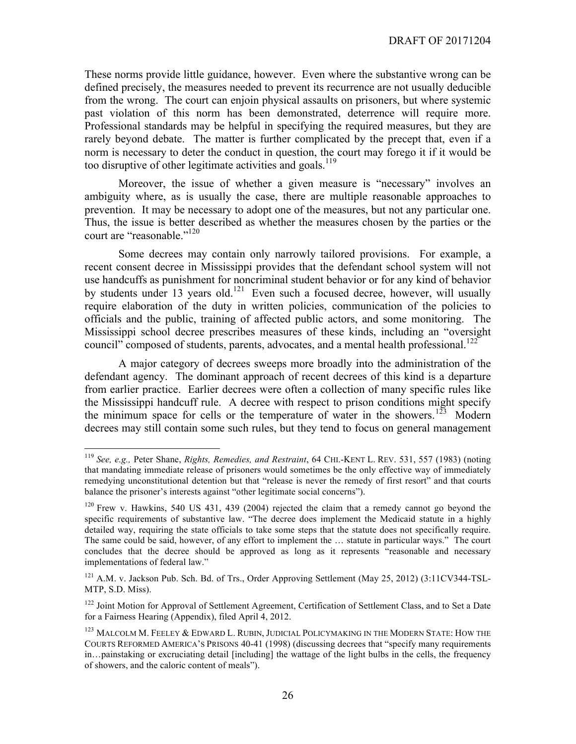These norms provide little guidance, however. Even where the substantive wrong can be defined precisely, the measures needed to prevent its recurrence are not usually deducible from the wrong. The court can enjoin physical assaults on prisoners, but where systemic past violation of this norm has been demonstrated, deterrence will require more. Professional standards may be helpful in specifying the required measures, but they are rarely beyond debate. The matter is further complicated by the precept that, even if a norm is necessary to deter the conduct in question, the court may forego it if it would be too disruptive of other legitimate activities and goals.<sup>119</sup>

Moreover, the issue of whether a given measure is "necessary" involves an ambiguity where, as is usually the case, there are multiple reasonable approaches to prevention. It may be necessary to adopt one of the measures, but not any particular one. Thus, the issue is better described as whether the measures chosen by the parties or the court are "reasonable."<sup>120</sup>

Some decrees may contain only narrowly tailored provisions. For example, a recent consent decree in Mississippi provides that the defendant school system will not use handcuffs as punishment for noncriminal student behavior or for any kind of behavior by students under 13 years old.<sup>121</sup> Even such a focused decree, however, will usually require elaboration of the duty in written policies, communication of the policies to officials and the public, training of affected public actors, and some monitoring. The Mississippi school decree prescribes measures of these kinds, including an "oversight council" composed of students, parents, advocates, and a mental health professional.<sup>122</sup>

A major category of decrees sweeps more broadly into the administration of the defendant agency. The dominant approach of recent decrees of this kind is a departure from earlier practice. Earlier decrees were often a collection of many specific rules like the Mississippi handcuff rule. A decree with respect to prison conditions might specify the minimum space for cells or the temperature of water in the showers.<sup>123</sup> Modern decrees may still contain some such rules, but they tend to focus on general management

 <sup>119</sup> *See, e.g.,* Peter Shane, *Rights, Remedies, and Restraint*, 64 CHI.-KENT L. REV. 531, 557 (1983) (noting that mandating immediate release of prisoners would sometimes be the only effective way of immediately remedying unconstitutional detention but that "release is never the remedy of first resort" and that courts balance the prisoner's interests against "other legitimate social concerns").

<sup>120</sup> Frew v. Hawkins, 540 US 431, 439 (2004) rejected the claim that a remedy cannot go beyond the specific requirements of substantive law. "The decree does implement the Medicaid statute in a highly detailed way, requiring the state officials to take some steps that the statute does not specifically require. The same could be said, however, of any effort to implement the … statute in particular ways." The court concludes that the decree should be approved as long as it represents "reasonable and necessary implementations of federal law."

<sup>&</sup>lt;sup>121</sup> A.M. v. Jackson Pub. Sch. Bd. of Trs., Order Approving Settlement (May 25, 2012) (3:11CV344-TSL-MTP, S.D. Miss).

<sup>&</sup>lt;sup>122</sup> Joint Motion for Approval of Settlement Agreement, Certification of Settlement Class, and to Set a Date for a Fairness Hearing (Appendix), filed April 4, 2012.

<sup>&</sup>lt;sup>123</sup> MALCOLM M. FEELEY & EDWARD L. RUBIN, JUDICIAL POLICYMAKING IN THE MODERN STATE: HOW THE COURTS REFORMED AMERICA'S PRISONS 40-41 (1998) (discussing decrees that "specify many requirements in…painstaking or excruciating detail [including] the wattage of the light bulbs in the cells, the frequency of showers, and the caloric content of meals").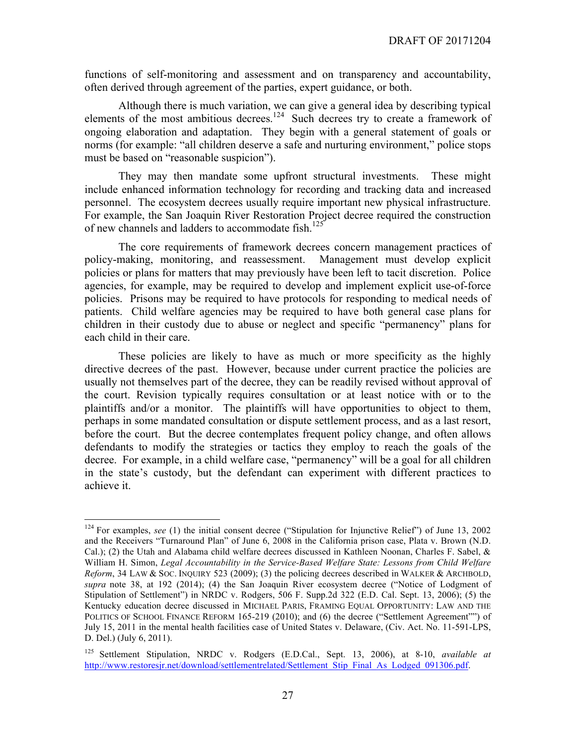functions of self-monitoring and assessment and on transparency and accountability, often derived through agreement of the parties, expert guidance, or both.

Although there is much variation, we can give a general idea by describing typical elements of the most ambitious decrees.<sup>124</sup> Such decrees try to create a framework of ongoing elaboration and adaptation. They begin with a general statement of goals or norms (for example: "all children deserve a safe and nurturing environment," police stops must be based on "reasonable suspicion").

They may then mandate some upfront structural investments. These might include enhanced information technology for recording and tracking data and increased personnel. The ecosystem decrees usually require important new physical infrastructure. For example, the San Joaquin River Restoration Project decree required the construction of new channels and ladders to accommodate fish.<sup>125</sup>

The core requirements of framework decrees concern management practices of policy-making, monitoring, and reassessment. Management must develop explicit policies or plans for matters that may previously have been left to tacit discretion. Police agencies, for example, may be required to develop and implement explicit use-of-force policies. Prisons may be required to have protocols for responding to medical needs of patients. Child welfare agencies may be required to have both general case plans for children in their custody due to abuse or neglect and specific "permanency" plans for each child in their care.

These policies are likely to have as much or more specificity as the highly directive decrees of the past. However, because under current practice the policies are usually not themselves part of the decree, they can be readily revised without approval of the court. Revision typically requires consultation or at least notice with or to the plaintiffs and/or a monitor. The plaintiffs will have opportunities to object to them, perhaps in some mandated consultation or dispute settlement process, and as a last resort, before the court. But the decree contemplates frequent policy change, and often allows defendants to modify the strategies or tactics they employ to reach the goals of the decree. For example, in a child welfare case, "permanency" will be a goal for all children in the state's custody, but the defendant can experiment with different practices to achieve it.

<sup>&</sup>lt;sup>124</sup> For examples, *see* (1) the initial consent decree ("Stipulation for Injunctive Relief") of June 13, 2002 and the Receivers "Turnaround Plan" of June 6, 2008 in the California prison case, Plata v. Brown (N.D. Cal.); (2) the Utah and Alabama child welfare decrees discussed in Kathleen Noonan, Charles F. Sabel, & William H. Simon, *Legal Accountability in the Service-Based Welfare State: Lessons from Child Welfare Reform*, 34 LAW & SOC. INQUIRY 523 (2009); (3) the policing decrees described in WALKER & ARCHBOLD, *supra* note 38, at 192 (2014); (4) the San Joaquin River ecosystem decree ("Notice of Lodgment of Stipulation of Settlement") in NRDC v. Rodgers, 506 F. Supp.2d 322 (E.D. Cal. Sept. 13, 2006); (5) the Kentucky education decree discussed in MICHAEL PARIS, FRAMING EQUAL OPPORTUNITY: LAW AND THE POLITICS OF SCHOOL FINANCE REFORM 165-219 (2010); and (6) the decree ("Settlement Agreement"") of July 15, 2011 in the mental health facilities case of United States v. Delaware, (Civ. Act. No. 11-591-LPS, D. Del.) (July 6, 2011).

<sup>125</sup> Settlement Stipulation, NRDC v. Rodgers (E.D.Cal., Sept. 13, 2006), at 8-10, *available at* http://www.restoresjr.net/download/settlementrelated/Settlement\_Stip\_Final\_As\_Lodged\_091306.pdf.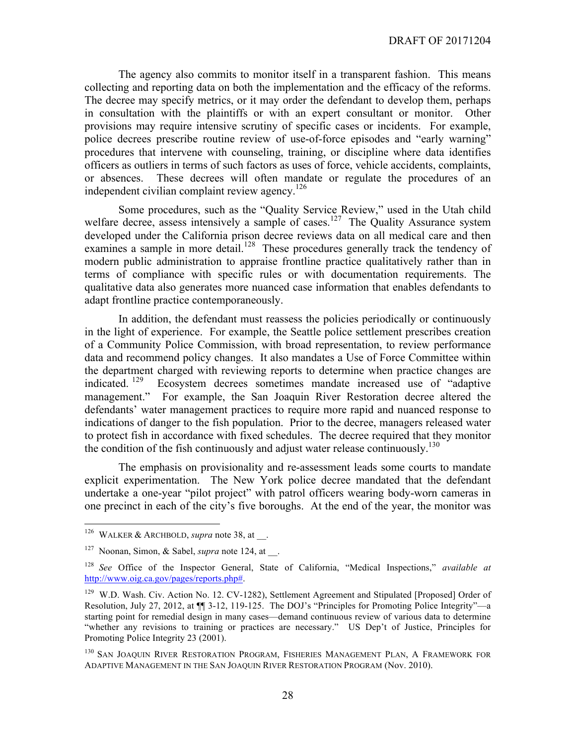The agency also commits to monitor itself in a transparent fashion. This means collecting and reporting data on both the implementation and the efficacy of the reforms. The decree may specify metrics, or it may order the defendant to develop them, perhaps in consultation with the plaintiffs or with an expert consultant or monitor. Other provisions may require intensive scrutiny of specific cases or incidents. For example, police decrees prescribe routine review of use-of-force episodes and "early warning" procedures that intervene with counseling, training, or discipline where data identifies officers as outliers in terms of such factors as uses of force, vehicle accidents, complaints, or absences. These decrees will often mandate or regulate the procedures of an independent civilian complaint review agency.<sup>126</sup>

Some procedures, such as the "Quality Service Review," used in the Utah child welfare decree, assess intensively a sample of cases.<sup>127</sup> The Quality Assurance system developed under the California prison decree reviews data on all medical care and then examines a sample in more detail.<sup>128</sup> These procedures generally track the tendency of modern public administration to appraise frontline practice qualitatively rather than in terms of compliance with specific rules or with documentation requirements. The qualitative data also generates more nuanced case information that enables defendants to adapt frontline practice contemporaneously.

In addition, the defendant must reassess the policies periodically or continuously in the light of experience. For example, the Seattle police settlement prescribes creation of a Community Police Commission, with broad representation, to review performance data and recommend policy changes. It also mandates a Use of Force Committee within the department charged with reviewing reports to determine when practice changes are indicated. 129 Ecosystem decrees sometimes mandate increased use of "adaptive management." For example, the San Joaquin River Restoration decree altered the defendants' water management practices to require more rapid and nuanced response to indications of danger to the fish population. Prior to the decree, managers released water to protect fish in accordance with fixed schedules. The decree required that they monitor the condition of the fish continuously and adjust water release continuously.<sup>130</sup>

The emphasis on provisionality and re-assessment leads some courts to mandate explicit experimentation. The New York police decree mandated that the defendant undertake a one-year "pilot project" with patrol officers wearing body-worn cameras in one precinct in each of the city's five boroughs. At the end of the year, the monitor was

 <sup>126</sup> WALKER & ARCHBOLD, *supra* note 38, at \_\_.

<sup>&</sup>lt;sup>127</sup> Noonan, Simon, & Sabel, *supra* note 124, at ...

<sup>128</sup> *See* Office of the Inspector General, State of California, "Medical Inspections," *available at* http://www.oig.ca.gov/pages/reports.php#.

<sup>&</sup>lt;sup>129</sup> W.D. Wash. Civ. Action No. 12. CV-1282), Settlement Agreement and Stipulated [Proposed] Order of Resolution, July 27, 2012, at ¶¶ 3-12, 119-125. The DOJ's "Principles for Promoting Police Integrity"—a starting point for remedial design in many cases—demand continuous review of various data to determine "whether any revisions to training or practices are necessary." US Dep't of Justice, Principles for Promoting Police Integrity 23 (2001).

<sup>&</sup>lt;sup>130</sup> SAN JOAQUIN RIVER RESTORATION PROGRAM, FISHERIES MANAGEMENT PLAN, A FRAMEWORK FOR ADAPTIVE MANAGEMENT IN THE SAN JOAQUIN RIVER RESTORATION PROGRAM (Nov. 2010).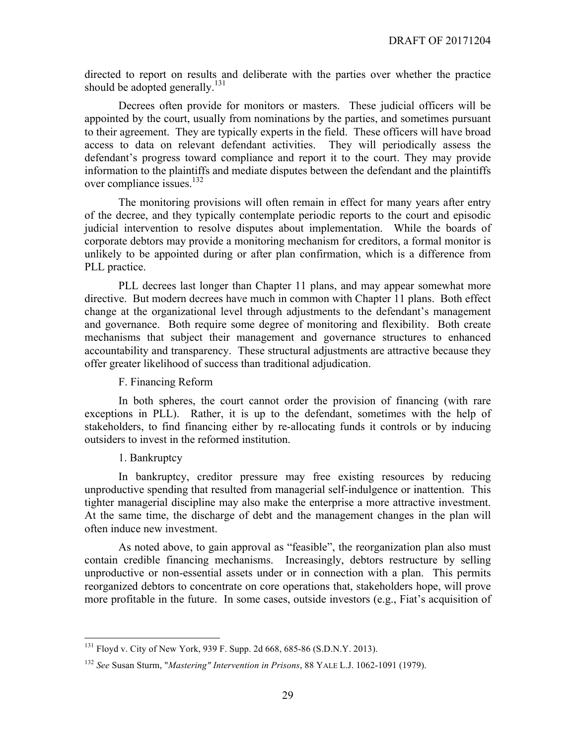directed to report on results and deliberate with the parties over whether the practice should be adopted generally.<sup>131</sup>

Decrees often provide for monitors or masters. These judicial officers will be appointed by the court, usually from nominations by the parties, and sometimes pursuant to their agreement. They are typically experts in the field. These officers will have broad access to data on relevant defendant activities. They will periodically assess the defendant's progress toward compliance and report it to the court. They may provide information to the plaintiffs and mediate disputes between the defendant and the plaintiffs over compliance issues.<sup>132</sup>

The monitoring provisions will often remain in effect for many years after entry of the decree, and they typically contemplate periodic reports to the court and episodic judicial intervention to resolve disputes about implementation. While the boards of corporate debtors may provide a monitoring mechanism for creditors, a formal monitor is unlikely to be appointed during or after plan confirmation, which is a difference from PLL practice.

PLL decrees last longer than Chapter 11 plans, and may appear somewhat more directive. But modern decrees have much in common with Chapter 11 plans. Both effect change at the organizational level through adjustments to the defendant's management and governance. Both require some degree of monitoring and flexibility. Both create mechanisms that subject their management and governance structures to enhanced accountability and transparency. These structural adjustments are attractive because they offer greater likelihood of success than traditional adjudication.

#### F. Financing Reform

In both spheres, the court cannot order the provision of financing (with rare exceptions in PLL). Rather, it is up to the defendant, sometimes with the help of stakeholders, to find financing either by re-allocating funds it controls or by inducing outsiders to invest in the reformed institution.

#### 1. Bankruptcy

In bankruptcy, creditor pressure may free existing resources by reducing unproductive spending that resulted from managerial self-indulgence or inattention. This tighter managerial discipline may also make the enterprise a more attractive investment. At the same time, the discharge of debt and the management changes in the plan will often induce new investment.

As noted above, to gain approval as "feasible", the reorganization plan also must contain credible financing mechanisms. Increasingly, debtors restructure by selling unproductive or non-essential assets under or in connection with a plan. This permits reorganized debtors to concentrate on core operations that, stakeholders hope, will prove more profitable in the future. In some cases, outside investors (e.g., Fiat's acquisition of

 <sup>131</sup> Floyd v. City of New York, 939 F. Supp. 2d 668, 685-86 (S.D.N.Y. 2013).

<sup>132</sup> *See* Susan Sturm, "*Mastering" Intervention in Prisons*, 88 YALE L.J. 1062-1091 (1979).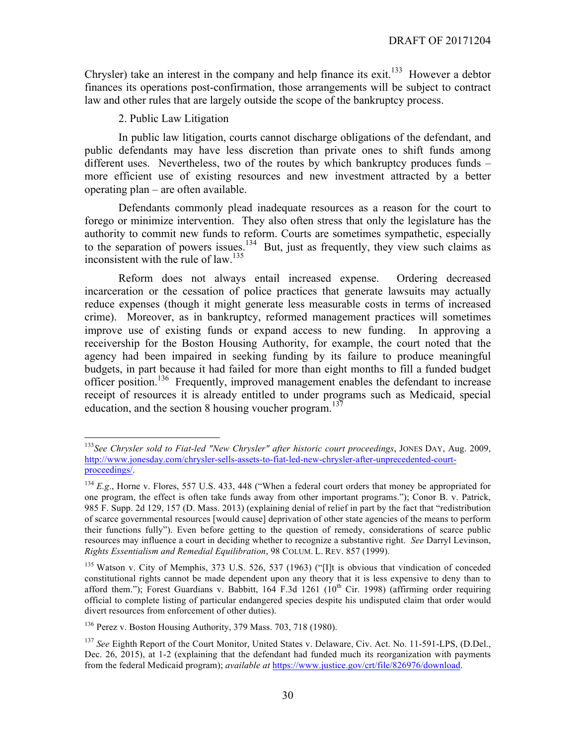Chrysler) take an interest in the company and help finance its exit.<sup>133</sup> However a debtor finances its operations post-confirmation, those arrangements will be subject to contract law and other rules that are largely outside the scope of the bankruptcy process.

2. Public Law Litigation

In public law litigation, courts cannot discharge obligations of the defendant, and public defendants may have less discretion than private ones to shift funds among different uses. Nevertheless, two of the routes by which bankruptcy produces funds – more efficient use of existing resources and new investment attracted by a better operating plan – are often available.

Defendants commonly plead inadequate resources as a reason for the court to forego or minimize intervention. They also often stress that only the legislature has the authority to commit new funds to reform. Courts are sometimes sympathetic, especially to the separation of powers issues.<sup>134</sup> But, just as frequently, they view such claims as inconsistent with the rule of law.<sup>135</sup>

Reform does not always entail increased expense. Ordering decreased incarceration or the cessation of police practices that generate lawsuits may actually reduce expenses (though it might generate less measurable costs in terms of increased crime). Moreover, as in bankruptcy, reformed management practices will sometimes improve use of existing funds or expand access to new funding. In approving a receivership for the Boston Housing Authority, for example, the court noted that the agency had been impaired in seeking funding by its failure to produce meaningful budgets, in part because it had failed for more than eight months to fill a funded budget officer position.<sup>136</sup> Frequently, improved management enables the defendant to increase receipt of resources it is already entitled to under programs such as Medicaid, special education, and the section 8 housing voucher program.<sup>137</sup>

 <sup>133</sup>*See Chrysler sold to Fiat-led "New Chrysler" after historic court proceedings*, JONES DAY, Aug. 2009, http://www.jonesday.com/chrysler-sells-assets-to-fiat-led-new-chrysler-after-unprecedented-courtproceedings/.

<sup>&</sup>lt;sup>134</sup> *E.g.*, Horne v. Flores, 557 U.S. 433, 448 ("When a federal court orders that money be appropriated for one program, the effect is often take funds away from other important programs."); Conor B. v. Patrick, 985 F. Supp. 2d 129, 157 (D. Mass. 2013) (explaining denial of relief in part by the fact that "redistribution of scarce governmental resources [would cause] deprivation of other state agencies of the means to perform their functions fully"). Even before getting to the question of remedy, considerations of scarce public resources may influence a court in deciding whether to recognize a substantive right. *See* Darryl Levinson, *Rights Essentialism and Remedial Equilibration*, 98 COLUM. L. REV. 857 (1999).

<sup>135</sup> Watson v. City of Memphis, 373 U.S. 526, 537 (1963) ("[I]t is obvious that vindication of conceded constitutional rights cannot be made dependent upon any theory that it is less expensive to deny than to afford them."); Forest Guardians v. Babbitt, 164 F.3d 1261 (10<sup>th</sup> Cir. 1998) (affirming order requiring official to complete listing of particular endangered species despite his undisputed claim that order would divert resources from enforcement of other duties).

<sup>136</sup> Perez v. Boston Housing Authority, 379 Mass. 703, 718 (1980).

<sup>&</sup>lt;sup>137</sup> See Eighth Report of the Court Monitor, United States v. Delaware, Civ. Act. No. 11-591-LPS, (D.Del., Dec. 26, 2015), at 1-2 (explaining that the defendant had funded much its reorganization with payments from the federal Medicaid program); *available at* https://www.justice.gov/crt/file/826976/download.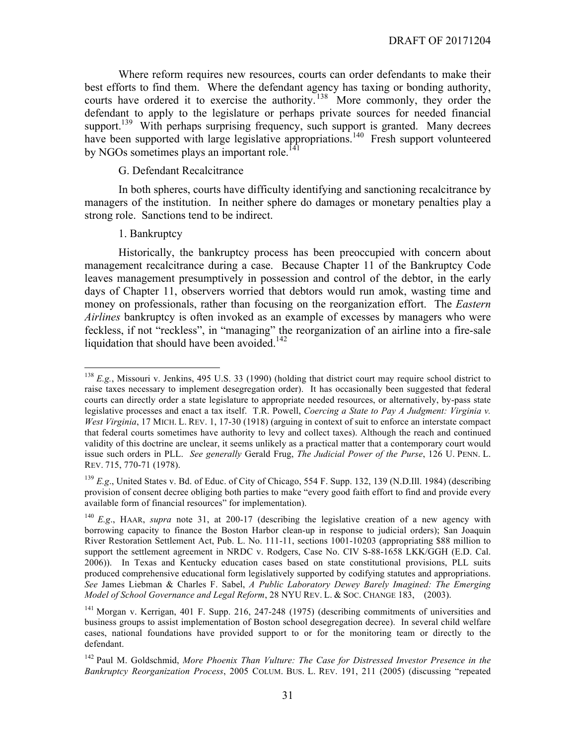Where reform requires new resources, courts can order defendants to make their best efforts to find them. Where the defendant agency has taxing or bonding authority, courts have ordered it to exercise the authority. <sup>138</sup> More commonly, they order the defendant to apply to the legislature or perhaps private sources for needed financial support.<sup>139</sup> With perhaps surprising frequency, such support is granted. Many decrees have been supported with large legislative appropriations.<sup>140</sup> Fresh support volunteered by NGOs sometimes plays an important role.<sup>141</sup>

#### G. Defendant Recalcitrance

In both spheres, courts have difficulty identifying and sanctioning recalcitrance by managers of the institution. In neither sphere do damages or monetary penalties play a strong role. Sanctions tend to be indirect.

#### 1. Bankruptcy

Historically, the bankruptcy process has been preoccupied with concern about management recalcitrance during a case. Because Chapter 11 of the Bankruptcy Code leaves management presumptively in possession and control of the debtor, in the early days of Chapter 11, observers worried that debtors would run amok, wasting time and money on professionals, rather than focusing on the reorganization effort. The *Eastern Airlines* bankruptcy is often invoked as an example of excesses by managers who were feckless, if not "reckless", in "managing" the reorganization of an airline into a fire-sale liquidation that should have been avoided.<sup>142</sup>

<sup>&</sup>lt;sup>138</sup> *E.g.*, Missouri v. Jenkins, 495 U.S. 33 (1990) (holding that district court may require school district to raise taxes necessary to implement desegregation order). It has occasionally been suggested that federal courts can directly order a state legislature to appropriate needed resources, or alternatively, by-pass state legislative processes and enact a tax itself. T.R. Powell, *Coercing a State to Pay A Judgment: Virginia v. West Virginia*, 17 MICH. L. REV. 1, 17-30 (1918) (arguing in context of suit to enforce an interstate compact that federal courts sometimes have authority to levy and collect taxes). Although the reach and continued validity of this doctrine are unclear, it seems unlikely as a practical matter that a contemporary court would issue such orders in PLL. *See generally* Gerald Frug, *The Judicial Power of the Purse*, 126 U. PENN. L. REV. 715, 770-71 (1978).

<sup>139</sup> *E.g*., United States v. Bd. of Educ. of City of Chicago, 554 F. Supp. 132, 139 (N.D.Ill. 1984) (describing provision of consent decree obliging both parties to make "every good faith effort to find and provide every available form of financial resources" for implementation).

<sup>140</sup> *E.g*., HAAR, *supra* note 31, at 200-17 (describing the legislative creation of a new agency with borrowing capacity to finance the Boston Harbor clean-up in response to judicial orders); San Joaquin River Restoration Settlement Act, Pub. L. No. 111-11, sections 1001-10203 (appropriating \$88 million to support the settlement agreement in NRDC v. Rodgers, Case No. CIV S-88-1658 LKK/GGH (E.D. Cal. 2006)). In Texas and Kentucky education cases based on state constitutional provisions, PLL suits produced comprehensive educational form legislatively supported by codifying statutes and appropriations. *See* James Liebman & Charles F. Sabel, *A Public Laboratory Dewey Barely Imagined: The Emerging Model of School Governance and Legal Reform*, 28 NYU REV. L. & SOC. CHANGE 183, (2003).

<sup>&</sup>lt;sup>141</sup> Morgan v. Kerrigan, 401 F. Supp. 216, 247-248 (1975) (describing commitments of universities and business groups to assist implementation of Boston school desegregation decree). In several child welfare cases, national foundations have provided support to or for the monitoring team or directly to the defendant.

<sup>142</sup> Paul M. Goldschmid, *More Phoenix Than Vulture: The Case for Distressed Investor Presence in the Bankruptcy Reorganization Process*, 2005 COLUM. BUS. L. REV. 191, 211 (2005) (discussing "repeated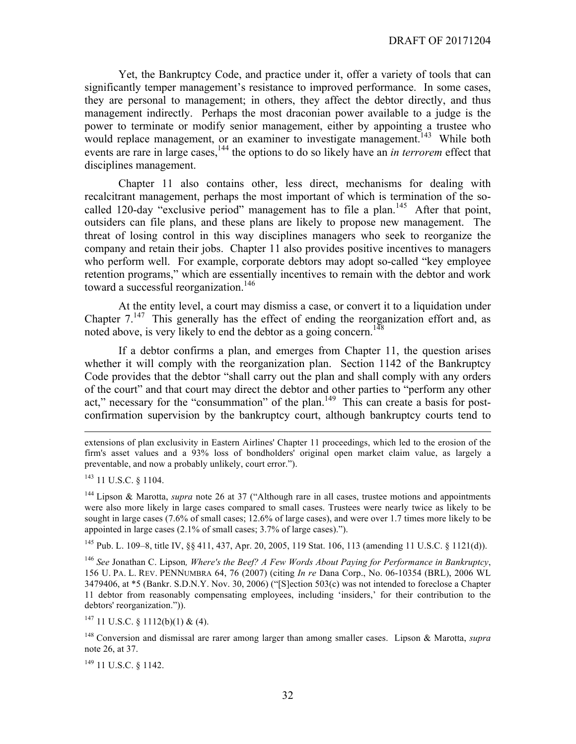Yet, the Bankruptcy Code, and practice under it, offer a variety of tools that can significantly temper management's resistance to improved performance. In some cases, they are personal to management; in others, they affect the debtor directly, and thus management indirectly. Perhaps the most draconian power available to a judge is the power to terminate or modify senior management, either by appointing a trustee who would replace management, or an examiner to investigate management.<sup>143</sup> While both events are rare in large cases,<sup>144</sup> the options to do so likely have an *in terrorem* effect that disciplines management.

Chapter 11 also contains other, less direct, mechanisms for dealing with recalcitrant management, perhaps the most important of which is termination of the socalled 120-day "exclusive period" management has to file a plan.<sup>145</sup> After that point, outsiders can file plans, and these plans are likely to propose new management. The threat of losing control in this way disciplines managers who seek to reorganize the company and retain their jobs. Chapter 11 also provides positive incentives to managers who perform well. For example, corporate debtors may adopt so-called "key employee retention programs," which are essentially incentives to remain with the debtor and work toward a successful reorganization.<sup>146</sup>

At the entity level, a court may dismiss a case, or convert it to a liquidation under Chapter  $7^{147}$  This generally has the effect of ending the reorganization effort and, as noted above, is very likely to end the debtor as a going concern.<sup>148</sup>

If a debtor confirms a plan, and emerges from Chapter 11, the question arises whether it will comply with the reorganization plan. Section 1142 of the Bankruptcy Code provides that the debtor "shall carry out the plan and shall comply with any orders of the court" and that court may direct the debtor and other parties to "perform any other act," necessary for the "consummation" of the plan.<sup>149</sup> This can create a basis for postconfirmation supervision by the bankruptcy court, although bankruptcy courts tend to

 $\overline{a}$ 

<sup>145</sup> Pub. L. 109–8, title IV, §§ 411, 437, Apr. 20, 2005, 119 Stat. 106, 113 (amending 11 U.S.C. § 1121(d)).

<sup>146</sup> *See* Jonathan C. Lipson*, Where's the Beef? A Few Words About Paying for Performance in Bankruptcy*, 156 U. PA. L. REV. PENNUMBRA 64, 76 (2007) (citing *In re* Dana Corp., No. 06-10354 (BRL), 2006 WL 3479406, at \*5 (Bankr. S.D.N.Y. Nov. 30, 2006) ("[S]ection 503(c) was not intended to foreclose a Chapter 11 debtor from reasonably compensating employees, including 'insiders,' for their contribution to the debtors' reorganization.")).

 $147$  11 U.S.C. § 1112(b)(1) & (4).

<sup>148</sup> Conversion and dismissal are rarer among larger than among smaller cases. Lipson & Marotta, *supra*  note 26, at 37.

 $149$  11 U.S.C. § 1142.

extensions of plan exclusivity in Eastern Airlines' Chapter 11 proceedings, which led to the erosion of the firm's asset values and a 93% loss of bondholders' original open market claim value, as largely a preventable, and now a probably unlikely, court error.").

<sup>143</sup> 11 U.S.C. § 1104.

<sup>144</sup> Lipson & Marotta, *supra* note 26 at 37 ("Although rare in all cases, trustee motions and appointments were also more likely in large cases compared to small cases. Trustees were nearly twice as likely to be sought in large cases (7.6% of small cases; 12.6% of large cases), and were over 1.7 times more likely to be appointed in large cases (2.1% of small cases; 3.7% of large cases).").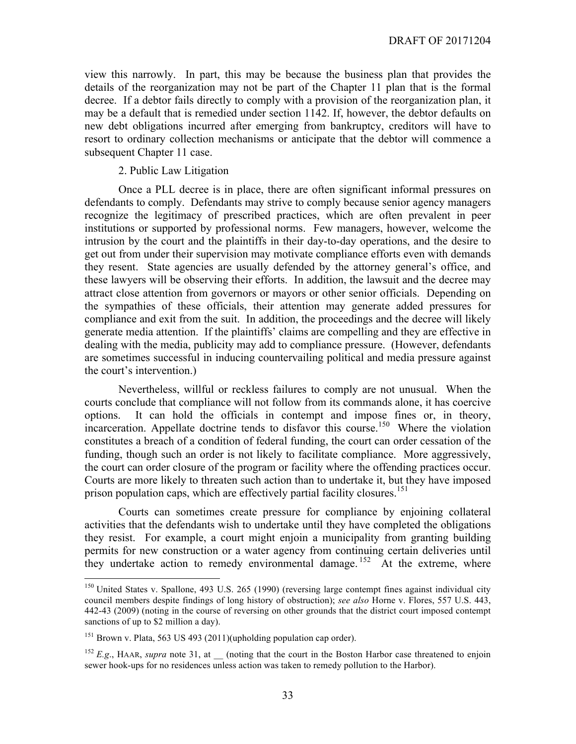view this narrowly. In part, this may be because the business plan that provides the details of the reorganization may not be part of the Chapter 11 plan that is the formal decree. If a debtor fails directly to comply with a provision of the reorganization plan, it may be a default that is remedied under section 1142. If, however, the debtor defaults on new debt obligations incurred after emerging from bankruptcy, creditors will have to resort to ordinary collection mechanisms or anticipate that the debtor will commence a subsequent Chapter 11 case.

2. Public Law Litigation

Once a PLL decree is in place, there are often significant informal pressures on defendants to comply. Defendants may strive to comply because senior agency managers recognize the legitimacy of prescribed practices, which are often prevalent in peer institutions or supported by professional norms. Few managers, however, welcome the intrusion by the court and the plaintiffs in their day-to-day operations, and the desire to get out from under their supervision may motivate compliance efforts even with demands they resent. State agencies are usually defended by the attorney general's office, and these lawyers will be observing their efforts. In addition, the lawsuit and the decree may attract close attention from governors or mayors or other senior officials. Depending on the sympathies of these officials, their attention may generate added pressures for compliance and exit from the suit. In addition, the proceedings and the decree will likely generate media attention. If the plaintiffs' claims are compelling and they are effective in dealing with the media, publicity may add to compliance pressure. (However, defendants are sometimes successful in inducing countervailing political and media pressure against the court's intervention.)

Nevertheless, willful or reckless failures to comply are not unusual. When the courts conclude that compliance will not follow from its commands alone, it has coercive options. It can hold the officials in contempt and impose fines or, in theory, incarceration. Appellate doctrine tends to disfavor this course.<sup>150</sup> Where the violation constitutes a breach of a condition of federal funding, the court can order cessation of the funding, though such an order is not likely to facilitate compliance. More aggressively, the court can order closure of the program or facility where the offending practices occur. Courts are more likely to threaten such action than to undertake it, but they have imposed prison population caps, which are effectively partial facility closures.<sup>151</sup>

Courts can sometimes create pressure for compliance by enjoining collateral activities that the defendants wish to undertake until they have completed the obligations they resist. For example, a court might enjoin a municipality from granting building permits for new construction or a water agency from continuing certain deliveries until they undertake action to remedy environmental damage.<sup>152</sup> At the extreme, where

<sup>&</sup>lt;sup>150</sup> United States v. Spallone, 493 U.S. 265 (1990) (reversing large contempt fines against individual city council members despite findings of long history of obstruction); *see also* Horne v. Flores, 557 U.S. 443, 442-43 (2009) (noting in the course of reversing on other grounds that the district court imposed contempt sanctions of up to \$2 million a day).

<sup>151</sup> Brown v. Plata, 563 US 493 (2011)(upholding population cap order).

<sup>&</sup>lt;sup>152</sup> *E.g.*, HAAR, *supra* note 31, at (noting that the court in the Boston Harbor case threatened to enjoin sewer hook-ups for no residences unless action was taken to remedy pollution to the Harbor).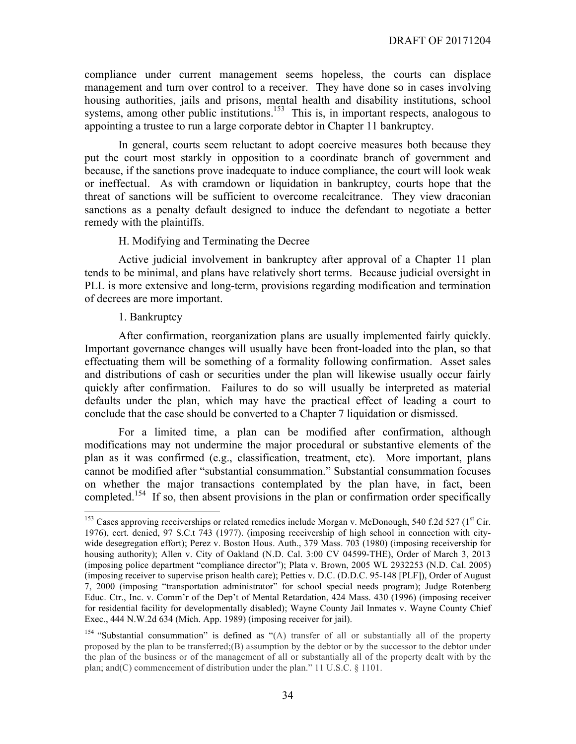compliance under current management seems hopeless, the courts can displace management and turn over control to a receiver. They have done so in cases involving housing authorities, jails and prisons, mental health and disability institutions, school systems, among other public institutions.<sup>153</sup> This is, in important respects, analogous to appointing a trustee to run a large corporate debtor in Chapter 11 bankruptcy.

In general, courts seem reluctant to adopt coercive measures both because they put the court most starkly in opposition to a coordinate branch of government and because, if the sanctions prove inadequate to induce compliance, the court will look weak or ineffectual. As with cramdown or liquidation in bankruptcy, courts hope that the threat of sanctions will be sufficient to overcome recalcitrance. They view draconian sanctions as a penalty default designed to induce the defendant to negotiate a better remedy with the plaintiffs.

#### H. Modifying and Terminating the Decree

Active judicial involvement in bankruptcy after approval of a Chapter 11 plan tends to be minimal, and plans have relatively short terms. Because judicial oversight in PLL is more extensive and long-term, provisions regarding modification and termination of decrees are more important.

#### 1. Bankruptcy

After confirmation, reorganization plans are usually implemented fairly quickly. Important governance changes will usually have been front-loaded into the plan, so that effectuating them will be something of a formality following confirmation. Asset sales and distributions of cash or securities under the plan will likewise usually occur fairly quickly after confirmation. Failures to do so will usually be interpreted as material defaults under the plan, which may have the practical effect of leading a court to conclude that the case should be converted to a Chapter 7 liquidation or dismissed.

For a limited time, a plan can be modified after confirmation, although modifications may not undermine the major procedural or substantive elements of the plan as it was confirmed (e.g., classification, treatment, etc). More important, plans cannot be modified after "substantial consummation." Substantial consummation focuses on whether the major transactions contemplated by the plan have, in fact, been completed.<sup>154</sup> If so, then absent provisions in the plan or confirmation order specifically

<sup>&</sup>lt;sup>153</sup> Cases approving receiverships or related remedies include Morgan v. McDonough, 540 f.2d 527 (1<sup>st</sup> Cir. 1976), cert. denied, 97 S.C.t 743 (1977). (imposing receivership of high school in connection with citywide desegregation effort); Perez v. Boston Hous. Auth., 379 Mass. 703 (1980) (imposing receivership for housing authority); Allen v. City of Oakland (N.D. Cal. 3:00 CV 04599-THE), Order of March 3, 2013 (imposing police department "compliance director"); Plata v. Brown, 2005 WL 2932253 (N.D. Cal. 2005) (imposing receiver to supervise prison health care); Petties v. D.C. (D.D.C. 95-148 [PLF]), Order of August 7, 2000 (imposing "transportation administrator" for school special needs program); Judge Rotenberg Educ. Ctr., Inc. v. Comm'r of the Dep't of Mental Retardation, 424 Mass. 430 (1996) (imposing receiver for residential facility for developmentally disabled); Wayne County Jail Inmates v. Wayne County Chief Exec., 444 N.W.2d 634 (Mich. App. 1989) (imposing receiver for jail).

<sup>&</sup>lt;sup>154</sup> "Substantial consummation" is defined as "(A) transfer of all or substantially all of the property proposed by the plan to be transferred;(B) assumption by the debtor or by the successor to the debtor under the plan of the business or of the management of all or substantially all of the property dealt with by the plan; and(C) commencement of distribution under the plan." 11 U.S.C. § 1101.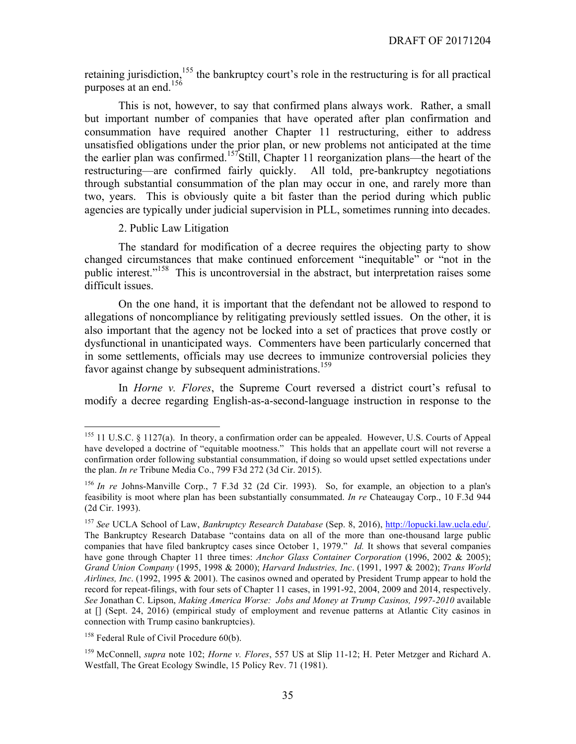retaining jurisdiction,<sup>155</sup> the bankruptcy court's role in the restructuring is for all practical purposes at an end.<sup>156</sup>

This is not, however, to say that confirmed plans always work. Rather, a small but important number of companies that have operated after plan confirmation and consummation have required another Chapter 11 restructuring, either to address unsatisfied obligations under the prior plan, or new problems not anticipated at the time the earlier plan was confirmed.<sup>157</sup>Still, Chapter 11 reorganization plans—the heart of the restructuring—are confirmed fairly quickly. All told, pre-bankruptcy negotiations through substantial consummation of the plan may occur in one, and rarely more than two, years. This is obviously quite a bit faster than the period during which public agencies are typically under judicial supervision in PLL, sometimes running into decades.

#### 2. Public Law Litigation

The standard for modification of a decree requires the objecting party to show changed circumstances that make continued enforcement "inequitable" or "not in the public interest."<sup>158</sup> This is uncontroversial in the abstract, but interpretation raises some difficult issues.

On the one hand, it is important that the defendant not be allowed to respond to allegations of noncompliance by relitigating previously settled issues. On the other, it is also important that the agency not be locked into a set of practices that prove costly or dysfunctional in unanticipated ways. Commenters have been particularly concerned that in some settlements, officials may use decrees to immunize controversial policies they favor against change by subsequent administrations.<sup>159</sup>

In *Horne v. Flores*, the Supreme Court reversed a district court's refusal to modify a decree regarding English-as-a-second-language instruction in response to the

<sup>&</sup>lt;sup>155</sup> 11 U.S.C. § 1127(a). In theory, a confirmation order can be appealed. However, U.S. Courts of Appeal have developed a doctrine of "equitable mootness." This holds that an appellate court will not reverse a confirmation order following substantial consummation, if doing so would upset settled expectations under the plan. *In re* Tribune Media Co., 799 F3d 272 (3d Cir. 2015).

<sup>156</sup> *In re* Johns-Manville Corp., 7 F.3d 32 (2d Cir. 1993). So, for example, an objection to a plan's feasibility is moot where plan has been substantially consummated. *In re* Chateaugay Corp., 10 F.3d 944 (2d Cir. 1993).

<sup>157</sup> *See* UCLA School of Law, *Bankruptcy Research Database* (Sep. 8, 2016), http://lopucki.law.ucla.edu/. The Bankruptcy Research Database "contains data on all of the more than one-thousand large public companies that have filed bankruptcy cases since October 1, 1979." *Id.* It shows that several companies have gone through Chapter 11 three times: *Anchor Glass Container Corporation* (1996, 2002 & 2005); *Grand Union Company* (1995, 1998 & 2000); *Harvard Industries, Inc*. (1991, 1997 & 2002); *Trans World Airlines, Inc*. (1992, 1995 & 2001). The casinos owned and operated by President Trump appear to hold the record for repeat-filings, with four sets of Chapter 11 cases, in 1991-92, 2004, 2009 and 2014, respectively. *See* Jonathan C. Lipson, *Making America Worse: Jobs and Money at Trump Casinos, 1997-2010* available at [] (Sept. 24, 2016) (empirical study of employment and revenue patterns at Atlantic City casinos in connection with Trump casino bankruptcies).

<sup>&</sup>lt;sup>158</sup> Federal Rule of Civil Procedure 60(b).

<sup>159</sup> McConnell, *supra* note 102; *Horne v. Flores*, 557 US at Slip 11-12; H. Peter Metzger and Richard A. Westfall, The Great Ecology Swindle, 15 Policy Rev. 71 (1981).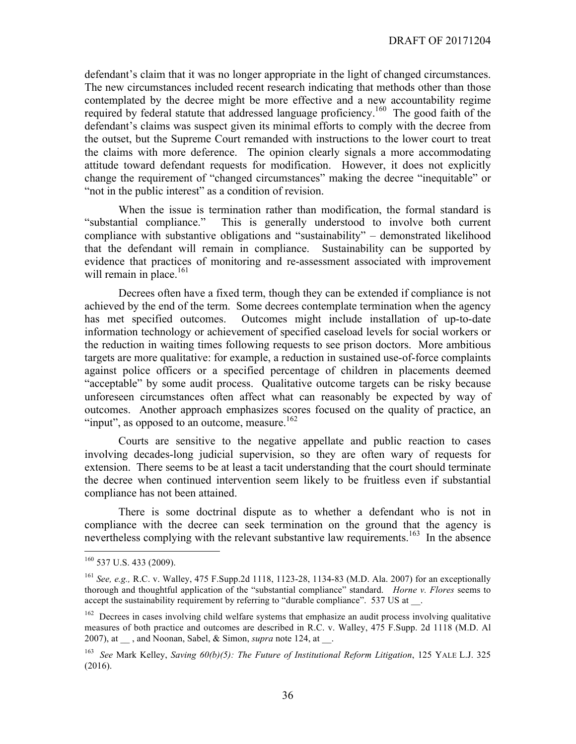defendant's claim that it was no longer appropriate in the light of changed circumstances. The new circumstances included recent research indicating that methods other than those contemplated by the decree might be more effective and a new accountability regime required by federal statute that addressed language proficiency.160 The good faith of the defendant's claims was suspect given its minimal efforts to comply with the decree from the outset, but the Supreme Court remanded with instructions to the lower court to treat the claims with more deference. The opinion clearly signals a more accommodating attitude toward defendant requests for modification. However, it does not explicitly change the requirement of "changed circumstances" making the decree "inequitable" or "not in the public interest" as a condition of revision.

When the issue is termination rather than modification, the formal standard is "substantial compliance." This is generally understood to involve both current This is generally understood to involve both current compliance with substantive obligations and "sustainability" – demonstrated likelihood that the defendant will remain in compliance. Sustainability can be supported by evidence that practices of monitoring and re-assessment associated with improvement will remain in place.<sup>161</sup>

Decrees often have a fixed term, though they can be extended if compliance is not achieved by the end of the term. Some decrees contemplate termination when the agency has met specified outcomes. Outcomes might include installation of up-to-date information technology or achievement of specified caseload levels for social workers or the reduction in waiting times following requests to see prison doctors. More ambitious targets are more qualitative: for example, a reduction in sustained use-of-force complaints against police officers or a specified percentage of children in placements deemed "acceptable" by some audit process. Qualitative outcome targets can be risky because unforeseen circumstances often affect what can reasonably be expected by way of outcomes. Another approach emphasizes scores focused on the quality of practice, an "input", as opposed to an outcome, measure.<sup>162</sup>

Courts are sensitive to the negative appellate and public reaction to cases involving decades-long judicial supervision, so they are often wary of requests for extension. There seems to be at least a tacit understanding that the court should terminate the decree when continued intervention seem likely to be fruitless even if substantial compliance has not been attained.

There is some doctrinal dispute as to whether a defendant who is not in compliance with the decree can seek termination on the ground that the agency is nevertheless complying with the relevant substantive law requirements.<sup>163</sup> In the absence

 <sup>160</sup> 537 U.S. 433 (2009).

<sup>161</sup> *See, e.g.,* R.C. v. Walley, 475 F.Supp.2d 1118, 1123-28, 1134-83 (M.D. Ala. 2007) for an exceptionally thorough and thoughtful application of the "substantial compliance" standard. *Horne v. Flores* seems to accept the sustainability requirement by referring to "durable compliance". 537 US at ...

<sup>&</sup>lt;sup>162</sup> Decrees in cases involving child welfare systems that emphasize an audit process involving qualitative measures of both practice and outcomes are described in R.C. v. Walley, 475 F.Supp. 2d 1118 (M.D. Al 2007), at \_\_ , and Noonan, Sabel, & Simon, *supra* note 124, at \_\_.

<sup>163</sup> *See* Mark Kelley, *Saving 60(b)(5): The Future of Institutional Reform Litigation*, 125 YALE L.J. 325 (2016).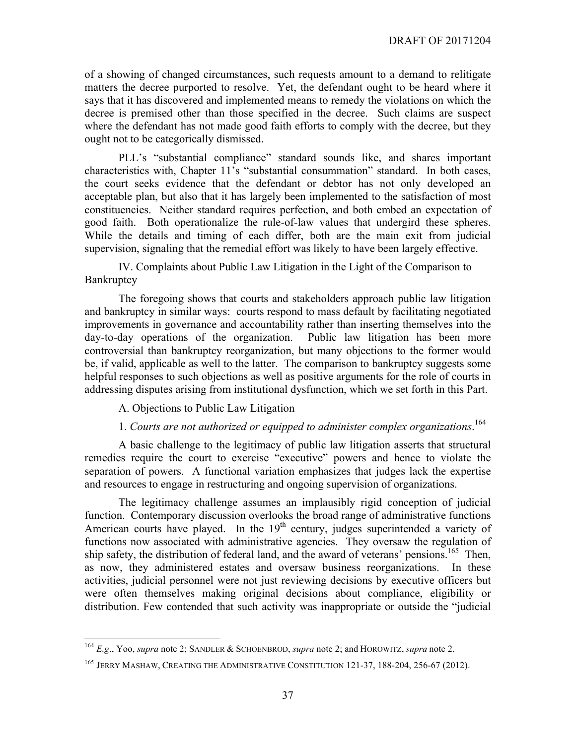of a showing of changed circumstances, such requests amount to a demand to relitigate matters the decree purported to resolve. Yet, the defendant ought to be heard where it says that it has discovered and implemented means to remedy the violations on which the decree is premised other than those specified in the decree. Such claims are suspect where the defendant has not made good faith efforts to comply with the decree, but they ought not to be categorically dismissed.

PLL's "substantial compliance" standard sounds like, and shares important characteristics with, Chapter 11's "substantial consummation" standard. In both cases, the court seeks evidence that the defendant or debtor has not only developed an acceptable plan, but also that it has largely been implemented to the satisfaction of most constituencies. Neither standard requires perfection, and both embed an expectation of good faith. Both operationalize the rule-of-law values that undergird these spheres. While the details and timing of each differ, both are the main exit from judicial supervision, signaling that the remedial effort was likely to have been largely effective.

IV. Complaints about Public Law Litigation in the Light of the Comparison to **Bankruptcy** 

The foregoing shows that courts and stakeholders approach public law litigation and bankruptcy in similar ways: courts respond to mass default by facilitating negotiated improvements in governance and accountability rather than inserting themselves into the day-to-day operations of the organization. Public law litigation has been more controversial than bankruptcy reorganization, but many objections to the former would be, if valid, applicable as well to the latter. The comparison to bankruptcy suggests some helpful responses to such objections as well as positive arguments for the role of courts in addressing disputes arising from institutional dysfunction, which we set forth in this Part.

A. Objections to Public Law Litigation

### 1. *Courts are not authorized or equipped to administer complex organizations*. 164

A basic challenge to the legitimacy of public law litigation asserts that structural remedies require the court to exercise "executive" powers and hence to violate the separation of powers. A functional variation emphasizes that judges lack the expertise and resources to engage in restructuring and ongoing supervision of organizations.

The legitimacy challenge assumes an implausibly rigid conception of judicial function. Contemporary discussion overlooks the broad range of administrative functions American courts have played. In the  $19<sup>th</sup>$  century, judges superintended a variety of functions now associated with administrative agencies. They oversaw the regulation of ship safety, the distribution of federal land, and the award of veterans' pensions.<sup>165</sup> Then, as now, they administered estates and oversaw business reorganizations. In these activities, judicial personnel were not just reviewing decisions by executive officers but were often themselves making original decisions about compliance, eligibility or distribution. Few contended that such activity was inappropriate or outside the "judicial

 <sup>164</sup> *E.g*., Yoo, *supra* note 2; SANDLER & SCHOENBROD, *supra* note 2; and HOROWITZ, *supra* note 2.

<sup>&</sup>lt;sup>165</sup> JERRY MASHAW, CREATING THE ADMINISTRATIVE CONSTITUTION 121-37, 188-204, 256-67 (2012).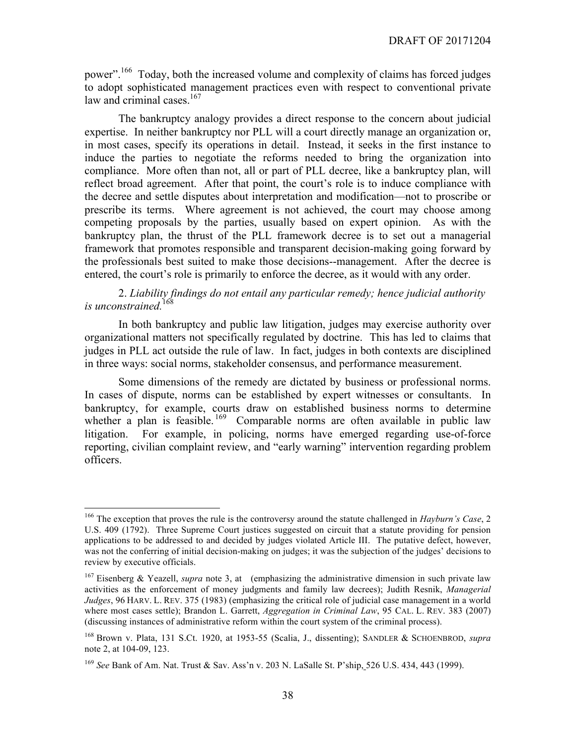power".166 Today, both the increased volume and complexity of claims has forced judges to adopt sophisticated management practices even with respect to conventional private law and criminal cases.<sup>167</sup>

The bankruptcy analogy provides a direct response to the concern about judicial expertise. In neither bankruptcy nor PLL will a court directly manage an organization or, in most cases, specify its operations in detail. Instead, it seeks in the first instance to induce the parties to negotiate the reforms needed to bring the organization into compliance. More often than not, all or part of PLL decree, like a bankruptcy plan, will reflect broad agreement. After that point, the court's role is to induce compliance with the decree and settle disputes about interpretation and modification—not to proscribe or prescribe its terms. Where agreement is not achieved, the court may choose among competing proposals by the parties, usually based on expert opinion. As with the bankruptcy plan, the thrust of the PLL framework decree is to set out a managerial framework that promotes responsible and transparent decision-making going forward by the professionals best suited to make those decisions--management. After the decree is entered, the court's role is primarily to enforce the decree, as it would with any order.

#### 2. *Liability findings do not entail any particular remedy; hence judicial authority is unconstrained.*<sup>168</sup>

In both bankruptcy and public law litigation, judges may exercise authority over organizational matters not specifically regulated by doctrine. This has led to claims that judges in PLL act outside the rule of law. In fact, judges in both contexts are disciplined in three ways: social norms, stakeholder consensus, and performance measurement.

Some dimensions of the remedy are dictated by business or professional norms. In cases of dispute, norms can be established by expert witnesses or consultants. In bankruptcy, for example, courts draw on established business norms to determine whether a plan is feasible.<sup>169</sup> Comparable norms are often available in public law litigation. For example, in policing, norms have emerged regarding use-of-force reporting, civilian complaint review, and "early warning" intervention regarding problem officers.

 <sup>166</sup> The exception that proves the rule is the controversy around the statute challenged in *Hayburn's Case*, 2 U.S. 409 (1792). Three Supreme Court justices suggested on circuit that a statute providing for pension applications to be addressed to and decided by judges violated Article III. The putative defect, however, was not the conferring of initial decision-making on judges; it was the subjection of the judges' decisions to review by executive officials.

<sup>167</sup> Eisenberg & Yeazell, *supra* note 3, at (emphasizing the administrative dimension in such private law activities as the enforcement of money judgments and family law decrees); Judith Resnik, *Managerial Judges*, 96 HARV. L. REV. 375 (1983) (emphasizing the critical role of judicial case management in a world where most cases settle); Brandon L. Garrett, *Aggregation in Criminal Law*, 95 CAL. L. REV. 383 (2007) (discussing instances of administrative reform within the court system of the criminal process).

<sup>168</sup> Brown v. Plata, 131 S.Ct. 1920, at 1953-55 (Scalia, J., dissenting); SANDLER & SCHOENBROD, *supra*  note 2, at 104-09, 123.

<sup>169</sup> *See* Bank of Am. Nat. Trust & Sav. Ass'n v. 203 N. LaSalle St. P'ship, 526 U.S. 434, 443 (1999).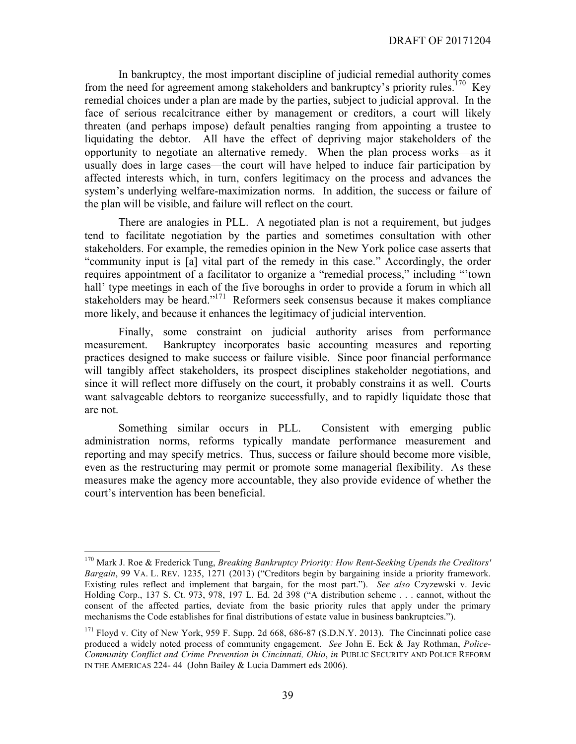In bankruptcy, the most important discipline of judicial remedial authority comes from the need for agreement among stakeholders and bankruptcy's priority rules.<sup>170</sup> Key remedial choices under a plan are made by the parties, subject to judicial approval. In the face of serious recalcitrance either by management or creditors, a court will likely threaten (and perhaps impose) default penalties ranging from appointing a trustee to liquidating the debtor. All have the effect of depriving major stakeholders of the opportunity to negotiate an alternative remedy. When the plan process works—as it usually does in large cases—the court will have helped to induce fair participation by affected interests which, in turn, confers legitimacy on the process and advances the system's underlying welfare-maximization norms. In addition, the success or failure of the plan will be visible, and failure will reflect on the court.

There are analogies in PLL. A negotiated plan is not a requirement, but judges tend to facilitate negotiation by the parties and sometimes consultation with other stakeholders. For example, the remedies opinion in the New York police case asserts that "community input is [a] vital part of the remedy in this case." Accordingly, the order requires appointment of a facilitator to organize a "remedial process," including "'town hall' type meetings in each of the five boroughs in order to provide a forum in which all stakeholders may be heard."171 Reformers seek consensus because it makes compliance more likely, and because it enhances the legitimacy of judicial intervention.

Finally, some constraint on judicial authority arises from performance measurement. Bankruptcy incorporates basic accounting measures and reporting practices designed to make success or failure visible. Since poor financial performance will tangibly affect stakeholders, its prospect disciplines stakeholder negotiations, and since it will reflect more diffusely on the court, it probably constrains it as well. Courts want salvageable debtors to reorganize successfully, and to rapidly liquidate those that are not.

Something similar occurs in PLL. Consistent with emerging public administration norms, reforms typically mandate performance measurement and reporting and may specify metrics. Thus, success or failure should become more visible, even as the restructuring may permit or promote some managerial flexibility. As these measures make the agency more accountable, they also provide evidence of whether the court's intervention has been beneficial.

 <sup>170</sup> Mark J. Roe & Frederick Tung, *Breaking Bankruptcy Priority: How Rent-Seeking Upends the Creditors' Bargain*, 99 VA. L. REV. 1235, 1271 (2013) ("Creditors begin by bargaining inside a priority framework. Existing rules reflect and implement that bargain, for the most part."). *See also* Czyzewski v. Jevic Holding Corp., 137 S. Ct. 973, 978, 197 L. Ed. 2d 398 ("A distribution scheme . . . cannot, without the consent of the affected parties, deviate from the basic priority rules that apply under the primary mechanisms the Code establishes for final distributions of estate value in business bankruptcies.").

 $171$  Floyd v. City of New York, 959 F. Supp. 2d 668, 686-87 (S.D.N.Y. 2013). The Cincinnati police case produced a widely noted process of community engagement. *See* John E. Eck & Jay Rothman, *Police-Community Conflict and Crime Prevention in Cincinnati, Ohio*, *in* PUBLIC SECURITY AND POLICE REFORM IN THE AMERICAS 224- 44 (John Bailey & Lucia Dammert eds 2006).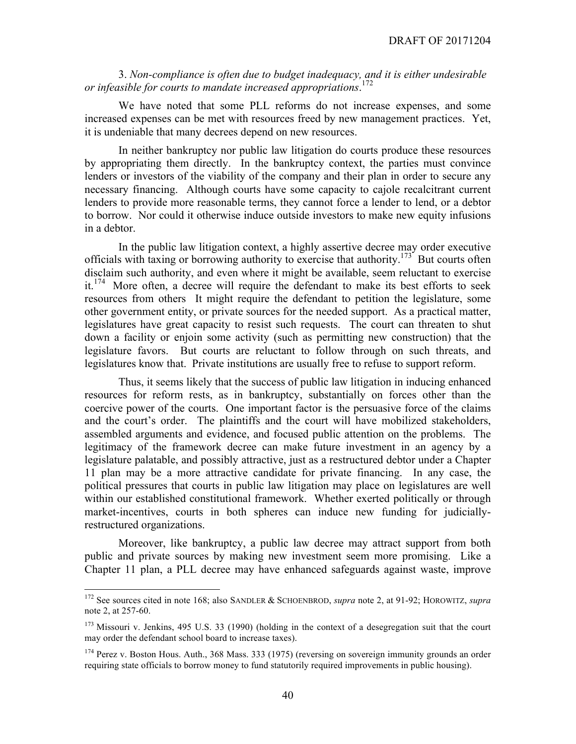3. *Non-compliance is often due to budget inadequacy, and it is either undesirable or infeasible for courts to mandate increased appropriations*. 172

We have noted that some PLL reforms do not increase expenses, and some increased expenses can be met with resources freed by new management practices. Yet, it is undeniable that many decrees depend on new resources.

In neither bankruptcy nor public law litigation do courts produce these resources by appropriating them directly. In the bankruptcy context, the parties must convince lenders or investors of the viability of the company and their plan in order to secure any necessary financing. Although courts have some capacity to cajole recalcitrant current lenders to provide more reasonable terms, they cannot force a lender to lend, or a debtor to borrow. Nor could it otherwise induce outside investors to make new equity infusions in a debtor.

In the public law litigation context, a highly assertive decree may order executive officials with taxing or borrowing authority to exercise that authority.<sup>173</sup> But courts often disclaim such authority, and even where it might be available, seem reluctant to exercise it.<sup>174</sup> More often, a decree will require the defendant to make its best efforts to seek resources from others It might require the defendant to petition the legislature, some other government entity, or private sources for the needed support. As a practical matter, legislatures have great capacity to resist such requests. The court can threaten to shut down a facility or enjoin some activity (such as permitting new construction) that the legislature favors. But courts are reluctant to follow through on such threats, and legislatures know that. Private institutions are usually free to refuse to support reform.

Thus, it seems likely that the success of public law litigation in inducing enhanced resources for reform rests, as in bankruptcy, substantially on forces other than the coercive power of the courts. One important factor is the persuasive force of the claims and the court's order. The plaintiffs and the court will have mobilized stakeholders, assembled arguments and evidence, and focused public attention on the problems. The legitimacy of the framework decree can make future investment in an agency by a legislature palatable, and possibly attractive, just as a restructured debtor under a Chapter 11 plan may be a more attractive candidate for private financing. In any case, the political pressures that courts in public law litigation may place on legislatures are well within our established constitutional framework. Whether exerted politically or through market-incentives, courts in both spheres can induce new funding for judiciallyrestructured organizations.

Moreover, like bankruptcy, a public law decree may attract support from both public and private sources by making new investment seem more promising. Like a Chapter 11 plan, a PLL decree may have enhanced safeguards against waste, improve

 <sup>172</sup> See sources cited in note 168; also SANDLER & SCHOENBROD, *supra* note 2, at 91-92; HOROWITZ, *supra*  note 2, at 257-60.

<sup>&</sup>lt;sup>173</sup> Missouri v. Jenkins, 495 U.S. 33 (1990) (holding in the context of a desegregation suit that the court may order the defendant school board to increase taxes).

<sup>&</sup>lt;sup>174</sup> Perez v. Boston Hous. Auth., 368 Mass. 333 (1975) (reversing on sovereign immunity grounds an order requiring state officials to borrow money to fund statutorily required improvements in public housing).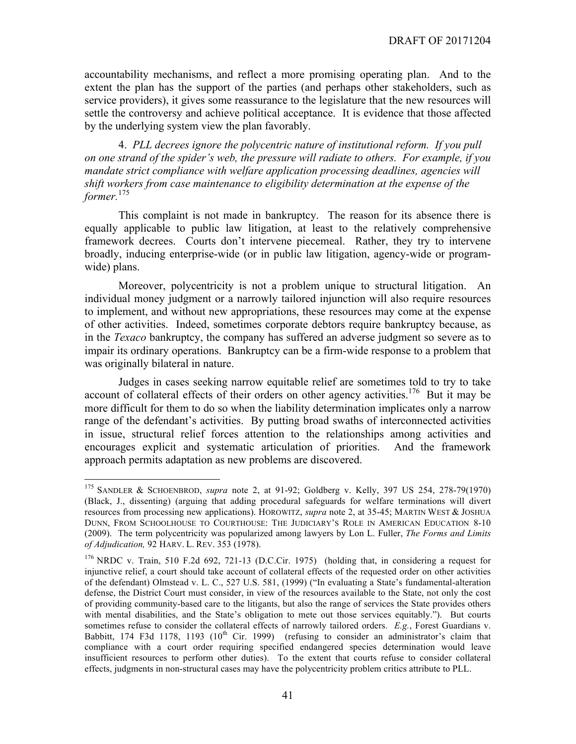accountability mechanisms, and reflect a more promising operating plan. And to the extent the plan has the support of the parties (and perhaps other stakeholders, such as service providers), it gives some reassurance to the legislature that the new resources will settle the controversy and achieve political acceptance. It is evidence that those affected by the underlying system view the plan favorably.

4. *PLL decrees ignore the polycentric nature of institutional reform. If you pull on one strand of the spider's web, the pressure will radiate to others. For example, if you mandate strict compliance with welfare application processing deadlines, agencies will shift workers from case maintenance to eligibility determination at the expense of the former.*<sup>175</sup>

This complaint is not made in bankruptcy. The reason for its absence there is equally applicable to public law litigation, at least to the relatively comprehensive framework decrees. Courts don't intervene piecemeal. Rather, they try to intervene broadly, inducing enterprise-wide (or in public law litigation, agency-wide or programwide) plans.

Moreover, polycentricity is not a problem unique to structural litigation. An individual money judgment or a narrowly tailored injunction will also require resources to implement, and without new appropriations, these resources may come at the expense of other activities. Indeed, sometimes corporate debtors require bankruptcy because, as in the *Texaco* bankruptcy, the company has suffered an adverse judgment so severe as to impair its ordinary operations. Bankruptcy can be a firm-wide response to a problem that was originally bilateral in nature.

Judges in cases seeking narrow equitable relief are sometimes told to try to take account of collateral effects of their orders on other agency activities.<sup>176</sup> But it may be more difficult for them to do so when the liability determination implicates only a narrow range of the defendant's activities. By putting broad swaths of interconnected activities in issue, structural relief forces attention to the relationships among activities and encourages explicit and systematic articulation of priorities. And the framework approach permits adaptation as new problems are discovered.

 <sup>175</sup> SANDLER & SCHOENBROD, *supra* note 2, at 91-92; Goldberg v. Kelly, 397 US 254, 278-79(1970) (Black, J., dissenting) (arguing that adding procedural safeguards for welfare terminations will divert resources from processing new applications). HOROWITZ, *supra* note 2, at 35-45; MARTIN WEST & JOSHUA DUNN, FROM SCHOOLHOUSE TO COURTHOUSE: THE JUDICIARY'S ROLE IN AMERICAN EDUCATION 8-10 (2009). The term polycentricity was popularized among lawyers by Lon L. Fuller, *The Forms and Limits of Adjudication,* 92 HARV. L. REV. 353 (1978).

<sup>176</sup> NRDC v. Train, 510 F.2d 692, 721-13 (D.C.Cir. 1975) (holding that, in considering a request for injunctive relief, a court should take account of collateral effects of the requested order on other activities of the defendant) Olmstead v. L. C., 527 U.S. 581, (1999) ("In evaluating a State's fundamental-alteration defense, the District Court must consider, in view of the resources available to the State, not only the cost of providing community-based care to the litigants, but also the range of services the State provides others with mental disabilities, and the State's obligation to mete out those services equitably."). But courts sometimes refuse to consider the collateral effects of narrowly tailored orders. *E.g.*, Forest Guardians v. Babbitt, 174 F3d 1178, 1193  $(10<sup>th</sup>$  Cir. 1999) (refusing to consider an administrator's claim that compliance with a court order requiring specified endangered species determination would leave insufficient resources to perform other duties). To the extent that courts refuse to consider collateral effects, judgments in non-structural cases may have the polycentricity problem critics attribute to PLL.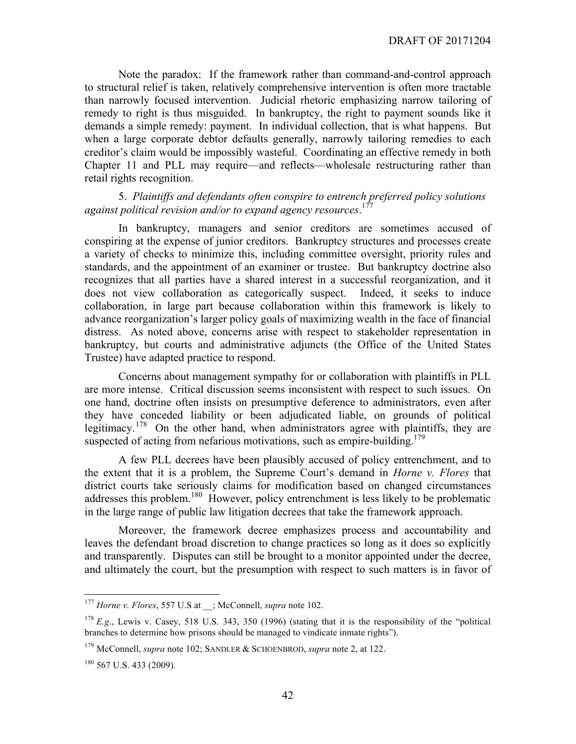Note the paradox: If the framework rather than command-and-control approach to structural relief is taken, relatively comprehensive intervention is often more tractable than narrowly focused intervention. Judicial rhetoric emphasizing narrow tailoring of remedy to right is thus misguided. In bankruptcy, the right to payment sounds like it demands a simple remedy: payment. In individual collection, that is what happens. But when a large corporate debtor defaults generally, narrowly tailoring remedies to each creditor's claim would be impossibly wasteful. Coordinating an effective remedy in both Chapter 11 and PLL may require—and reflects—wholesale restructuring rather than retail rights recognition.

#### 5. *Plaintiffs and defendants often conspire to entrench preferred policy solutions against political revision and/or to expand agency resources*. 177

In bankruptcy, managers and senior creditors are sometimes accused of conspiring at the expense of junior creditors. Bankruptcy structures and processes create a variety of checks to minimize this, including committee oversight, priority rules and standards, and the appointment of an examiner or trustee. But bankruptcy doctrine also recognizes that all parties have a shared interest in a successful reorganization, and it does not view collaboration as categorically suspect. Indeed, it seeks to induce collaboration, in large part because collaboration within this framework is likely to advance reorganization's larger policy goals of maximizing wealth in the face of financial distress. As noted above, concerns arise with respect to stakeholder representation in bankruptcy, but courts and administrative adjuncts (the Office of the United States Trustee) have adapted practice to respond.

Concerns about management sympathy for or collaboration with plaintiffs in PLL are more intense. Critical discussion seems inconsistent with respect to such issues. On one hand, doctrine often insists on presumptive deference to administrators, even after they have conceded liability or been adjudicated liable, on grounds of political legitimacy.<sup>178</sup> On the other hand, when administrators agree with plaintiffs, they are suspected of acting from nefarious motivations, such as empire-building.<sup>179</sup>

A few PLL decrees have been plausibly accused of policy entrenchment, and to the extent that it is a problem, the Supreme Court's demand in *Horne v. Flores* that district courts take seriously claims for modification based on changed circumstances addresses this problem.<sup>180</sup> However, policy entrenchment is less likely to be problematic in the large range of public law litigation decrees that take the framework approach.

Moreover, the framework decree emphasizes process and accountability and leaves the defendant broad discretion to change practices so long as it does so explicitly and transparently. Disputes can still be brought to a monitor appointed under the decree, and ultimately the court, but the presumption with respect to such matters is in favor of

 <sup>177</sup> *Horne v. Flores*, 557 U.S at \_\_; McConnell, *supra* note 102.

<sup>&</sup>lt;sup>178</sup> *E.g.*, Lewis v. Casey, 518 U.S. 343, 350 (1996) (stating that it is the responsibility of the "political branches to determine how prisons should be managed to vindicate inmate rights").

<sup>179</sup> McConnell, *supra* note 102; SANDLER & SCHOENBROD, *supra* note 2, at 122.

 $180$  567 U.S. 433 (2009).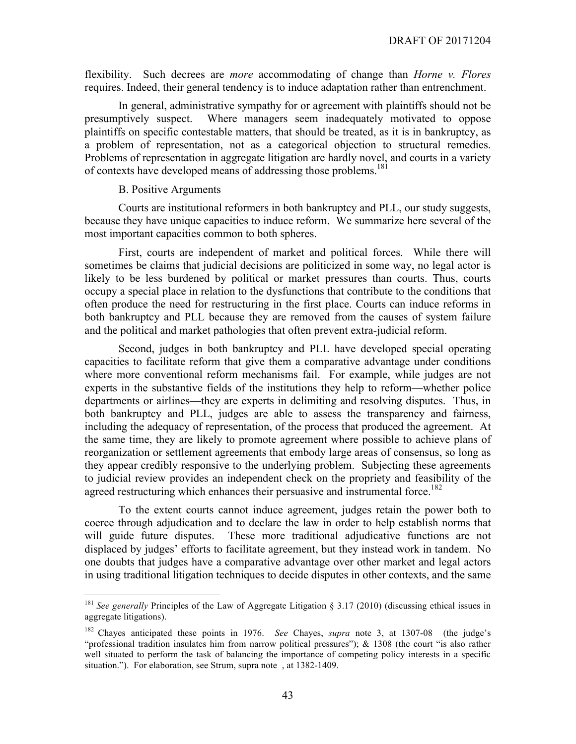flexibility. Such decrees are *more* accommodating of change than *Horne v. Flores*  requires. Indeed, their general tendency is to induce adaptation rather than entrenchment.

In general, administrative sympathy for or agreement with plaintiffs should not be presumptively suspect. Where managers seem inadequately motivated to oppose plaintiffs on specific contestable matters, that should be treated, as it is in bankruptcy, as a problem of representation, not as a categorical objection to structural remedies. Problems of representation in aggregate litigation are hardly novel, and courts in a variety of contexts have developed means of addressing those problems.181

#### B. Positive Arguments

Courts are institutional reformers in both bankruptcy and PLL, our study suggests, because they have unique capacities to induce reform. We summarize here several of the most important capacities common to both spheres.

First, courts are independent of market and political forces. While there will sometimes be claims that judicial decisions are politicized in some way, no legal actor is likely to be less burdened by political or market pressures than courts. Thus, courts occupy a special place in relation to the dysfunctions that contribute to the conditions that often produce the need for restructuring in the first place. Courts can induce reforms in both bankruptcy and PLL because they are removed from the causes of system failure and the political and market pathologies that often prevent extra-judicial reform.

Second, judges in both bankruptcy and PLL have developed special operating capacities to facilitate reform that give them a comparative advantage under conditions where more conventional reform mechanisms fail. For example, while judges are not experts in the substantive fields of the institutions they help to reform—whether police departments or airlines—they are experts in delimiting and resolving disputes. Thus, in both bankruptcy and PLL, judges are able to assess the transparency and fairness, including the adequacy of representation, of the process that produced the agreement. At the same time, they are likely to promote agreement where possible to achieve plans of reorganization or settlement agreements that embody large areas of consensus, so long as they appear credibly responsive to the underlying problem. Subjecting these agreements to judicial review provides an independent check on the propriety and feasibility of the agreed restructuring which enhances their persuasive and instrumental force.<sup>182</sup>

To the extent courts cannot induce agreement, judges retain the power both to coerce through adjudication and to declare the law in order to help establish norms that will guide future disputes. These more traditional adjudicative functions are not displaced by judges' efforts to facilitate agreement, but they instead work in tandem. No one doubts that judges have a comparative advantage over other market and legal actors in using traditional litigation techniques to decide disputes in other contexts, and the same

<sup>&</sup>lt;sup>181</sup> *See generally* Principles of the Law of Aggregate Litigation § 3.17 (2010) (discussing ethical issues in aggregate litigations).

<sup>182</sup> Chayes anticipated these points in 1976. *See* Chayes, *supra* note 3, at 1307-08 (the judge's "professional tradition insulates him from narrow political pressures"); & 1308 (the court "is also rather well situated to perform the task of balancing the importance of competing policy interests in a specific situation."). For elaboration, see Strum, supra note , at 1382-1409.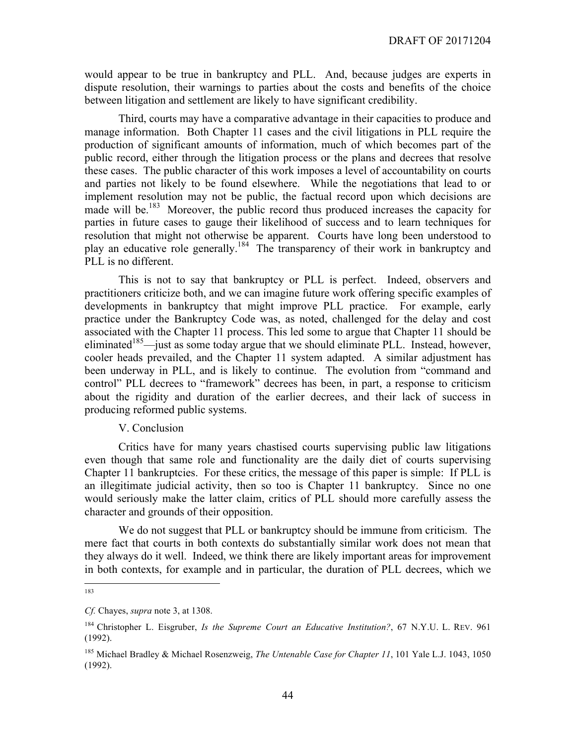would appear to be true in bankruptcy and PLL. And, because judges are experts in dispute resolution, their warnings to parties about the costs and benefits of the choice between litigation and settlement are likely to have significant credibility.

Third, courts may have a comparative advantage in their capacities to produce and manage information. Both Chapter 11 cases and the civil litigations in PLL require the production of significant amounts of information, much of which becomes part of the public record, either through the litigation process or the plans and decrees that resolve these cases. The public character of this work imposes a level of accountability on courts and parties not likely to be found elsewhere. While the negotiations that lead to or implement resolution may not be public, the factual record upon which decisions are made will be.<sup>183</sup> Moreover, the public record thus produced increases the capacity for parties in future cases to gauge their likelihood of success and to learn techniques for resolution that might not otherwise be apparent. Courts have long been understood to play an educative role generally.184 The transparency of their work in bankruptcy and PLL is no different.

This is not to say that bankruptcy or PLL is perfect. Indeed, observers and practitioners criticize both, and we can imagine future work offering specific examples of developments in bankruptcy that might improve PLL practice. For example, early practice under the Bankruptcy Code was, as noted, challenged for the delay and cost associated with the Chapter 11 process. This led some to argue that Chapter 11 should be eliminated<sup>185</sup>—just as some today argue that we should eliminate PLL. Instead, however, cooler heads prevailed, and the Chapter 11 system adapted. A similar adjustment has been underway in PLL, and is likely to continue. The evolution from "command and control" PLL decrees to "framework" decrees has been, in part, a response to criticism about the rigidity and duration of the earlier decrees, and their lack of success in producing reformed public systems.

#### V. Conclusion

Critics have for many years chastised courts supervising public law litigations even though that same role and functionality are the daily diet of courts supervising Chapter 11 bankruptcies. For these critics, the message of this paper is simple: If PLL is an illegitimate judicial activity, then so too is Chapter 11 bankruptcy. Since no one would seriously make the latter claim, critics of PLL should more carefully assess the character and grounds of their opposition.

We do not suggest that PLL or bankruptcy should be immune from criticism. The mere fact that courts in both contexts do substantially similar work does not mean that they always do it well. Indeed, we think there are likely important areas for improvement in both contexts, for example and in particular, the duration of PLL decrees, which we

 <sup>183</sup>

*Cf.* Chayes, *supra* note 3, at 1308.

<sup>184</sup> Christopher L. Eisgruber, *Is the Supreme Court an Educative Institution?*, 67 N.Y.U. L. REV. 961 (1992).

<sup>185</sup> Michael Bradley & Michael Rosenzweig, *The Untenable Case for Chapter 11*, 101 Yale L.J. 1043, 1050 (1992).